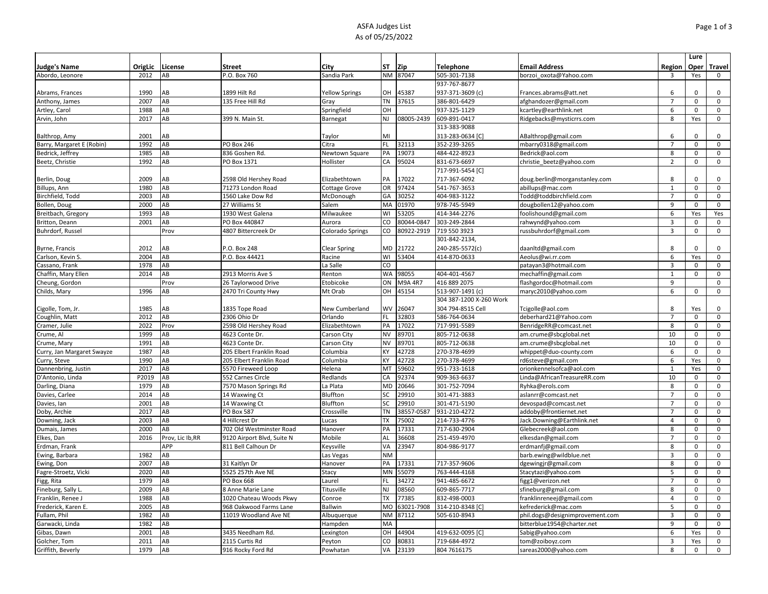## ASFA Judges List As of 05/25/2022

|                            |         |                  |                            |                       |                |            |                         |                                 |                | Lure        |                     |
|----------------------------|---------|------------------|----------------------------|-----------------------|----------------|------------|-------------------------|---------------------------------|----------------|-------------|---------------------|
| <b>Judge's Name</b>        | OrigLic | License          | <b>Street</b>              | City                  | ST             | Zip        | Telephone               | <b>Email Address</b>            | Region         | Oper        | <b>Travel</b>       |
| Abordo, Leonore            | 2012    | AB               | P.O. Box 760               | Sandia Park           | <b>NM</b>      | 87047      | 505-301-7138            | borzoi oxota@Yahoo.com          | 3              | Yes         | $\mathbf 0$         |
|                            |         |                  |                            |                       |                |            | 937-767-8677            |                                 |                |             |                     |
| Abrams, Frances            | 1990    | AВ               | 1899 Hilt Rd               | <b>Yellow Springs</b> | OН             | 45387      | 937-371-3609 (c)        | Frances.abrams@att.net          | 6              | $\Omega$    | 0                   |
| Anthony, James             | 2007    | AB               | 135 Free Hill Rd           | Gray                  | <b>TN</b>      | 37615      | 386-801-6429            | afghandozer@gmail.com           | $\overline{7}$ | $\Omega$    | $\mathsf 0$         |
| Artley, Carol              | 1988    | AB               |                            | Springfield           | OH             |            | 937-325-1129            | kcartley@earthlink.net          | 6              | $\mathbf 0$ | $\mathbf 0$         |
| Arvin, John                | 2017    | AB               | 399 N. Main St.            | Barnegat              | <b>NJ</b>      | 08005-2439 | 609-891-0417            | Ridgebacks@mysticrrs.com        | 8              | Yes         | $\mathsf 0$         |
|                            |         |                  |                            |                       |                |            | 313-383-9088            |                                 |                |             |                     |
| Balthrop, Amy              | 2001    | AB               |                            | Taylor                | MI             |            | 313-283-0634 [C]        | ABalthrop@gmail.com             | 6              | $\Omega$    | $\mathbf 0$         |
| Barry, Margaret E (Robin)  | 1992    | AB               | PO Box 246                 | Citra                 | <b>FL</b>      | 32113      | 352-239-3265            | mbarry0318@gmail.com            | $\overline{7}$ | $\mathbf 0$ | $\mathbf 0$         |
| Bedrick, Jeffrey           | 1985    | AB               | 836 Goshen Rd.             | Newtown Square        | PA             | 19073      | 484-422-8923            | Bedrick@aol.com                 | 8              | 0           | 0                   |
| Beetz, Christie            | 1992    | AB               | PO Box 1371                | Hollister             | CA             | 95024      | 831-673-6697            | christie_beetz@yahoo.com        | $\overline{2}$ | $\mathbf 0$ | $\mathbf 0$         |
|                            |         |                  |                            |                       |                |            | 717-991-5454 [C]        |                                 |                |             |                     |
| Berlin, Doug               | 2009    | AВ               | 2598 Old Hershey Road      | Elizabethtown         | PA             | 17022      | 717-367-6092            | doug.berlin@morganstanley.com   | 8              | $\Omega$    | 0                   |
| Billups, Ann               | 1980    | AB               | 71273 London Road          | <b>Cottage Grove</b>  | OR             | 97424      | 541-767-3653            | abillups@mac.com                | $\mathbf{1}$   | 0           | $\mathsf 0$         |
| Birchfield, Todd           | 2003    | AB               | 1560 Lake Dow Rd           | McDonough             | GA             | 30252      | 404-983-3122            | Todd@toddbirchfield.com         | $\overline{7}$ | 0           | $\mathsf 0$         |
| Bollen, Doug               | 2000    | AB               | 27 Williams St             | Salem                 | MA             | 01970      | 978-745-5949            | dougbollen12@yahoo.com          | 9              | $\mathbf 0$ | $\mathsf 0$         |
| Breitbach, Gregory         | 1993    | AB               | 1930 West Galena           | Milwaukee             | WI             | 53205      | 414-344-2276            | foolishound@gmail.com           | 6              | Yes         | Yes                 |
| Britton, Deann             | 2001    | AB               | PO Box 440847              | Aurora                | CO             | 80044-0847 | 303-249-2844            | rahwynd@yahoo.com               | $\overline{3}$ | 0           | $\mathbf 0$         |
| Buhrdorf, Russel           |         | Prov             | 4807 Bittercreek Dr        | Colorado Springs      | CO             | 80922-2919 | 719 550 3923            | russbuhrdorf@gmail.com          | 3              | $\mathbf 0$ | $\mathsf 0$         |
|                            |         |                  |                            |                       |                |            | 301-842-2134,           |                                 |                |             |                     |
| Byrne, Francis             | 2012    | AВ               | P.O. Box 248               | <b>Clear Spring</b>   | MD             | 21722      | 240-285-5572(c)         | daanltd@gmail.com               | 8              | $\Omega$    | $\mathbf 0$         |
| Carlson, Kevin S.          | 2004    | AB               | P.O. Box 44421             | Racine                | WI             | 53404      | 414-870-0633            | Aeolus@wi.rr.com                | 6              | Yes         | $\mathsf 0$         |
| Cassano, Frank             | 1978    | AB               |                            | La Salle              | CO             |            |                         | patayan3@hotmail.com            | 3              | 0           | $\mathsf 0$         |
| Chaffin, Mary Ellen        | 2014    | AB               | 2913 Morris Ave S          | Renton                | <b>WA</b>      | 98055      | 404-401-4567            | mechaffin@gmail.com             | $\mathbf{1}$   | $\mathsf 0$ | 0                   |
| Cheung, Gordon             |         | Prov             | 26 Taylorwood Drive        | Etobicoke             | ON             | M9A 4R7    | 416 889 2075            | flashgordoc@hotmail.com         | 9              |             | 0                   |
| Childs, Mary               | 1996    | AB               | 2470 Tri County Hwy        | Mt Orab               | OH             | 45154      | 513-907-1491 (c)        | maryc2010@yahoo.com             | 6              | 0           | $\mathsf 0$         |
|                            |         |                  |                            |                       |                |            | 304 387-1200 X-260 Work |                                 |                |             |                     |
| Cigolle, Tom, Jr           | 1985    | AB               | 1835 Tope Road             | New Cumberland        | WV             | 26047      | 304 794-8515 Cell       | Tcigolle@aol.com                | 8              | Yes         | $\mathbf 0$         |
| Coughlin, Matt             | 2012    | AB               | 2306 Ohio Dr               | Orlando               | <b>FL</b>      | 32803      | 586-764-0634            | deberhard21@Yahoo.com           | $\overline{7}$ | 0           | 0                   |
| Cramer, Julie              | 2022    | Prov             | 2598 Old Hershey Road      | Elizabethtown         | PA             | 17022      | 717-991-5589            | BenridgeRR@comcast.net          | 8              | 0           | $\mathbf 0$         |
| Crume, Al                  | 1999    | AB               | 4623 Conte Dr.             | Carson City           | <b>NV</b>      | 89701      | 805-712-0638            | am.crume@sbcglobal.net          | 10             | $\mathbf 0$ | $\mathbf 0$         |
| Crume, Mary                | 1991    | AB               | 4623 Conte Dr.             | Carson City           | <b>NV</b>      | 89701      | 805-712-0638            | am.crume@sbcglobal.net          | 10             | 0           | 0                   |
| Curry, Jan Margaret Swayze | 1987    | AB               | 205 Elbert Franklin Road   | Columbia              | KY             | 42728      | 270-378-4699            | whippet@duo-county.com          | 6              | 0           | 0                   |
| Curry, Steve               | 1990    | AB               | 205 Elbert Franklin Road   | Columbia              | KY             | 42728      | 270-378-4699            | rd6steve@gmail.com              | 6              | Yes         | $\mathsf 0$         |
| Dannenbring, Justin        | 2017    | AB               | 5570 Fireweed Loop         | Helena                | M <sub>1</sub> | 59602      | 951-733-1618            | orionkennelsofca@aol.com        | $\mathbf{1}$   | Yes         | 0                   |
| D'Antonio, Linda           | P2019   | AB               | 552 Carnes Circle          | Redlands              | CA             | 92374      | 909-363-6637            | Linda@AfricanTreasureRR.com     | 10             | 0           | 0                   |
| Darling, Diana             | 1979    | AB               | 7570 Mason Springs Rd      | La Plata              | <b>MD</b>      | 20646      | 301-752-7094            | Ryhka@erols.com                 | 8              | $\mathbf 0$ | $\mathbf 0$         |
| Davies, Carlee             | 2014    | AB               | 14 Waxwing Ct              | Bluffton              | SC             | 29910      | 301-471-3883            | aslanrr@comcast.net             | $\overline{7}$ | $\mathbf 0$ | $\mathsf{O}\xspace$ |
| Davies, Ian                | 2001    | AB               | 14 Waxwing Ct              | Bluffton              | SC             | 29910      | 301-471-5190            | devospad@comcast.net            | $\overline{7}$ | $\Omega$    | $\mathsf 0$         |
| Doby, Archie               | 2017    | AB               | <b>PO Box 587</b>          | Crossville            | <b>TN</b>      | 38557-0587 | 931-210-4272            | addoby@frontiernet.net          | $\overline{7}$ | $\mathbf 0$ | $\mathsf 0$         |
| Downing, Jack              | 2003    | AB               | 4 Hillcrest Dr             | Lucas                 | <b>TX</b>      | 75002      | 214-733-4776            | Jack.Downing@Earthlink.net      | $\overline{4}$ | 0           | $\mathbf 0$         |
| Dumais, James              | 2000    | AB               | 702 Old Westminster Road   | Hanover               | PA             | 17331      | 717-630-2904            | Glebecreek@aol.com              | 8              | $\mathbf 0$ | $\mathbf 0$         |
| Elkes, Dan                 | 2016    | Prov, Lic Ib, RR | 9120 Airport Blvd, Suite N | Mobile                | AL             | 36608      | 251-459-4970            | elkesdan@gmail.com              | $\overline{7}$ | $\Omega$    | $\mathbf 0$         |
| Erdman, Frank              |         | APP              | 811 Bell Calhoun Dr        | Keysville             | VA             | 23947      | 804-986-9177            | erdmanfj@gmail.com              | 8              | 0           | 0                   |
| Ewing, Barbara             | 1982    | AB               |                            | Las Vegas             | <b>NM</b>      |            |                         | barb.ewing@wildblue.net         | $\overline{3}$ | 0           | 0                   |
| Ewing, Don                 | 2007    | AB               | 31 Kaitlyn Dr              | Hanover               | PA             | 17331      | 717-357-9606            | dgewingjr@gmail.com             | 8              | $\mathbf 0$ | $\mathbf 0$         |
| Fagre-Stroetz, Vicki       | 2020    | AB               | 5525 257th Ave NE          | Stacy                 | MN             | 55079      | 763-444-4168            | Stacytazi@yahoo.com             | 5              | 0           | 0                   |
| Figg, Rita                 | 1979    | AB               | PO Box 668                 | Laurel                |                | 34272      | 941-485-6672            | figg1@verizon.net               | $\overline{7}$ | $\Omega$    | $\mathbf 0$         |
| Fineburg, Sally L          | 2009    | AB               | 8 Anne Marie Lane          | Titusville            | NJ             | 08560      | 609-865-7717            | sfineburg@gmail.com             | 8              | 0           | $\mathbf 0$         |
| Franklin, Renee J          | 1988    | AB               | 1020 Chateau Woods Pkwy    | Conroe                | ТX             | 77385      | 832-498-0003            | franklinreneej@gmail.com        | $\overline{4}$ | $\Omega$    | $\mathsf 0$         |
| Frederick, Karen E.        | 2005    | AB               | 968 Oakwood Farms Lane     | Ballwin               | <b>MO</b>      | 63021-7908 | 314-210-8348 [0         | kefrederick@mac.com             | 5              | 0           | $\mathbf 0$         |
| Fullam, Phil               | 1982    | AB               | 11019 Woodland Ave NE      | Albuquerque           | <b>NM</b>      | 87112      | 505-610-8943            | phil.dogs@designimprovement.com | $\overline{3}$ | $\Omega$    | $\mathbf 0$         |
| Garwacki, Linda            | 1982    | AB               |                            | Hampden               | MA             |            |                         | bitterblue1954@charter.net      | 9              | 0           | 0                   |
| Gibas, Dawn                | 2001    | AB               | 3435 Needham Rd.           | Lexington             | OH             | 44904      | 419-632-0095 [C]        | Sabig@yahoo.com                 | 6              | Yes         | 0                   |
| Golcher, Tom               | 2011    | AB               | 2115 Curtis Rd             | Peyton                | CO             | 80831      | 719-684-4972            | tom@zoiboyz.com                 | $\overline{3}$ | Yes         | $\mathsf 0$         |
| Griffith, Beverly          | 1979    | AB               | 916 Rocky Ford Rd          | Powhatan              | VA             | 23139      | 804 7616175             | sareas2000@yahoo.com            | 8              | 0           | 0                   |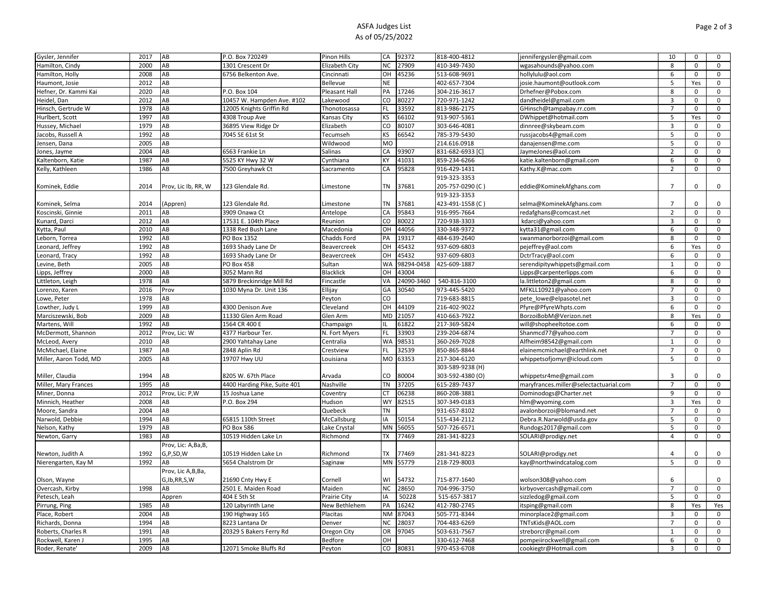## ASFA Judges List As of 05/25/2022

| 2000<br>AB<br>27909<br>410-349-7430<br>Hamilton, Cindy<br>1301 Crescent Dr<br>Elizabeth City<br><b>NC</b><br>wgasahounds@yahoo.com<br>8<br>0<br>0<br>2008<br>AB<br>6756 Belkenton Ave.<br>OH<br>45236<br>513-608-9691<br>6<br>$\mathsf 0$<br>$\mathbf 0$<br>Hamilton, Holly<br>Cincinnati<br>hollylulu@aol.com<br>2012<br>AB<br><b>NE</b><br>402-657-7304<br>Haumont, Josie<br>Bellevue<br>josie.haumont@outlook.com<br>5<br>Yes<br>0<br>2020<br>17246<br>AВ<br>P.O. Box 104<br>PA<br>304-216-3617<br>8<br>$\mathbf 0$<br>0<br>Hefner, Dr. Kammi Kai<br>Pleasant Hall<br>Drhefner@Pobox.com<br>CO<br>2012<br>AB<br>10457 W. Hampden Ave. #102<br>80227<br>$\mathsf 0$<br>Heidel, Dan<br>Lakewood<br>720-971-1242<br>dandheidel@gmail.com<br>3<br>0<br>AB<br><b>FL</b><br>33592<br>1978<br>813-986-2175<br>$\overline{7}$<br>$\mathbf 0$<br>$\Omega$<br>Hinsch, Gertrude W<br>12005 Knights Griffin Rd<br>Thonotosassa<br>GHinsch@tampabay.rr.com<br>1997<br>AB<br><b>KS</b><br>66102<br>0<br>4308 Troup Ave<br>913-907-5361<br>5<br>Yes<br>Hurlbert, Scott<br>Kansas City<br>DWhippet@hotmail.com<br>1979<br>AB<br>80107<br>3<br>Hussey, Michael<br>36895 View Ridge Dr<br>Elizabeth<br>CO<br>303-646-4081<br>dinnree@skybeam.com<br>0<br>0<br>AB<br>$\mathsf 0$<br>Jacobs, Russell A<br>1992<br>7045 SE 61st St<br>Tecumseh<br><b>KS</b><br>66542<br>785-379-5430<br>russjacobs4@gmail.com<br>5<br>0<br><b>MO</b><br>Jensen, Dana<br>2005<br>AB<br>Wildwood<br>214.616.0918<br>5<br>$\mathsf 0$<br>0<br>danajensen@me.com<br>2004<br>AB<br>93907<br>6563 Frankie Ln<br>Salinas<br>CA<br>831-682-6933 [C<br>JaymeJones@aol.com<br>$\overline{2}$<br>0<br>0<br>Jones, Jayme<br>AB<br>5525 KY Hwy 32 W<br>41031<br>Kaltenborn, Katie<br>1987<br>Cynthiana<br>KY<br>859-234-6266<br>katie.kaltenborn@gmail.com<br>6<br>0<br>0<br>95828<br>1986<br>AB<br>7500 Greyhawk Ct<br>CA<br>916-429-1431<br>$\overline{2}$<br>$\mathbf 0$<br>$\mathbf 0$<br>Kelly, Kathleen<br>Sacramento<br>Kathy.K@mac.com<br>919-323-3353<br><b>TN</b><br>37681<br>205-757-0290 (C)<br>$\overline{7}$<br>$\mathbf 0$<br>0<br>Kominek, Eddie<br>2014<br>Prov, Lic Ib, RR, W<br>123 Glendale Rd.<br>Limestone<br>eddie@KominekAfghans.com<br>919-323-3353<br><b>TN</b><br>37681<br>Kominek, Selma<br>2014<br>(Appren)<br>123 Glendale Rd.<br>Limestone<br>423-491-1558 (C)<br>selma@KominekAfghans.com<br>$\overline{7}$<br>0<br>0<br>$\mathsf{O}\xspace$<br>Koscinski, Ginnie<br>2011<br>AB<br>3909 Onawa Ct<br>Antelope<br>CA<br>95843<br>916-995-7664<br>redafghans@comcast.net<br>$\overline{2}$<br>0<br>2012<br>AB<br>17531 E. 104th Place<br>CO<br>80022<br>720-938-3303<br>$\mathsf 0$<br>Kunard, Darci<br>Reunion<br>kdarci@yahoo.com<br>3<br>$\mathbf 0$<br>44056<br>Kytta, Paul<br>2010<br>AB<br>1338 Red Bush Lane<br>Macedonia<br>OH<br>330-348-9372<br>6<br>0<br>0<br>kytta31@gmail.com<br>AB<br>19317<br>1992<br>PO Box 1352<br>Chadds Ford<br>PA<br>484-639-2640<br>swanmanorborzoi@gmail.com<br>8<br>0<br>0<br>Leborn, Torrea<br>1992<br>AB<br>1693 Shady Lane Dr<br>OH<br>15432<br>937-609-6803<br>6<br>$\mathbf 0$<br>Leonard, Jeffrey<br>Yes<br>Beavercreek<br>pejeffrey@aol.com<br>1992<br>AB<br>1693 Shady Lane Dr<br>OH<br>15432<br>0<br>Leonard, Tracy<br>Beavercreek<br>937-609-6803<br>DctrTracy@aol.com<br>6<br>0<br>WA<br>98294-0458<br>425-609-1887<br>2005<br>AB<br><b>PO Box 458</b><br>Sultan<br>$\mathbf{1}$<br>$\mathbf 0$<br>0<br>Levine, Beth<br>serendipitywhippets@gmail.com<br>AB<br>OH<br>43004<br>0<br>2000<br><b>Blacklick</b><br>6<br>$\mathsf 0$<br>Lipps, Jeffrey<br>3052 Mann Rd<br>Lipps@carpenterlipps.com<br>AB<br>540-816-3100<br>1978<br>5879 Breckinridge Mill Rd<br>Fincastle<br>VA<br>24090-3460<br>8<br>$\mathsf{O}\xspace$<br>Littleton, Leigh<br>a.littleton2@gmail.com<br>$\mathbf 0$<br>$\mathbf 0$<br>2016<br>Prov<br>1030 Myna Dr. Unit 136<br>Ellijay<br>GA<br>30540<br>973-445-5420<br>$\overline{7}$<br>0<br>Lorenzo, Karen<br>MFKLL10921@yahoo.com<br>CO<br>Lowe, Peter<br>1978<br>AB<br>719-683-8815<br>pete lowe@elpasotel.net<br>3<br>$\mathbf 0$<br>0<br>Peyton<br>1999<br>AB<br>4300 Denison Ave<br>OH<br>44109<br>216-402-9022<br>6<br>$\mathbf 0$<br>$\mathsf 0$<br>Lowther, Judy L<br>Cleveland<br>Pfyre@PfyreWhpts.com<br>AB<br>11330 Glen Arm Road<br><b>MD</b><br>21057<br>410-663-7922<br>$\mathsf 0$<br>Marciszewski, Bob<br>2009<br>Glen Arm<br>BorzoiBobM@Verizon.net<br>8<br>Yes<br>1992<br>AB<br>61822<br>217-369-5824<br>Martens, Will<br>1564 CR 400 E<br>Champaign<br>will@shopheeltotoe.com<br>6<br>0<br>0<br>2012<br>FL<br>33903<br>0<br>McDermott, Shannon<br>Prov, Lic: W<br>4377 Harbour Ter.<br>N. Fort Myers<br>239-204-6874<br>Shanmcd77@yahoo.com<br>$\overline{7}$<br>0<br>2010<br><b>WA</b><br>98531<br>360-269-7028<br>$\mathbf 0$<br>$\mathbf 0$<br>McLeod, Avery<br>AВ<br>2900 Yahtahay Lane<br>Centralia<br>Alfheim98542@gmail.com<br>$\mathbf{1}$<br>32539<br>1987<br>AВ<br><b>FL</b><br>850-865-8844<br>0<br>McMichael, Elaine<br>2848 Aplin Rd<br>Crestview<br>elainemcmichael@earthlink.net<br>7<br>0<br>63353<br>2005<br>AB<br>19707 Hwy UU<br>MO<br>5<br>$\mathsf 0$<br>0<br>Miller, Aaron Todd, MD<br>Louisiana<br>217-304-6120<br>whippetsofjomyr@icloud.com<br>303-589-9238 (H)<br>Miller, Claudia<br>1994<br>CO<br>80004<br>303-592-4380 (O)<br>$\mathbf 0$<br>АΒ<br>8205 W. 67th Place<br>Arvada<br>whippetsr4me@gmail.com<br>3<br>0<br>$\mathsf 0$<br>Miller, Mary Frances<br>1995<br>AB<br>4400 Harding Pike, Suite 401<br>Nashville<br><b>TN</b><br>37205<br>615-289-7437<br>maryfrances.miller@selectactuarial.com<br>$\overline{7}$<br>0<br>Miner, Donna<br>2012<br>Prov, Lic: P,W<br>06238<br>860-208-3881<br>9<br>$\mathbf 0$<br>15 Joshua Lane<br>Coventry<br>CT.<br>Dominodogs@Charter.net<br>$\mathbf 0$<br>2008<br>82515<br>Minnich, Heather<br>AB<br>P.O. Box 294<br>Hudson<br><b>WY</b><br>307-349-0183<br>3<br>Yes<br>0<br>hlm@wyoming.com<br>Moore, Sandra<br>2004<br>AB<br>Quebeck<br><b>TN</b><br>931-657-8102<br>avalonborzoi@blomand.net<br>0<br>0<br>$\overline{7}$<br>1994<br>AB<br>50154<br>515-434-2112<br>5<br>$\mathsf 0$<br>$\mathbf 0$<br>Narwold, Debbie<br>65815 110th Street<br>McCallsburg<br>IA<br>Debra.R.Narwold@usda.gov<br>MN<br>1979<br>AB<br>56055<br>0<br>Nelson, Kathy<br>PO Box 586<br>Lake Crystal<br>507-726-6571<br>Rundogs2017@gmail.com<br>5<br>0<br>77469<br>1983<br>AB<br>10519 Hidden Lake Ln<br><b>TX</b><br>281-341-8223<br>$\overline{4}$<br>$\mathbf 0$<br>0<br>Newton, Garry<br>Richmond<br>SOLARI@prodigy.net<br>Prov, Lic: A,Ba,B,<br><b>TX</b><br>77469<br>1992<br>G,P,SD,W<br>10519 Hidden Lake Ln<br>Richmond<br>281-341-8223<br>$\mathbf 0$<br>0<br>Newton, Judith A<br>SOLARI@prodigy.net<br>4<br><b>MN</b><br>55779<br>5<br>$\mathsf 0$<br>$\mathsf 0$<br>Nierengarten, Kay M<br>1992<br>AB<br>5654 Chalstrom Dr<br>218-729-8003<br>Saginaw<br>kay@northwindcatalog.com<br>Prov, Lic A,B,Ba,<br>G,Ib,RR,S,W<br>54732<br>Olson, Wayne<br>21690 Cnty Hwy E<br>Cornell<br>WI<br>715-877-1640<br>wolson308@yahoo.com<br>6<br>0<br>1998<br>28650<br>Overcash, Kirby<br>AB<br>2501 E. Maiden Road<br>Maiden<br><b>NC</b><br>704-996-3750<br>kirbyovercash@gmail.com<br>$\overline{7}$<br>0<br>0<br>404 E 5th St<br>50228<br>515-657-3817<br>5<br>$\mathsf 0$<br>0<br>Petesch, Leah<br>Prairie City<br>IA<br>sizzledog@gmail.com<br>Appren<br>PA<br>16242<br>1985<br>AB<br>120 Labyrinth Lane<br>New Bethlehem<br>412-780-2745<br>8<br>Yes<br>Pirrung, Ping<br>tsping@gmail.com<br>Yes<br>87043<br>3<br>2004<br>AB<br>Placitas<br><b>NM</b><br>505-771-8344<br>0<br>Place, Robert<br>190 Highway 165<br>minorplace2@gmail.com<br>0<br>1994<br>AB<br><b>NC</b><br>28037<br>$\overline{7}$<br>$\mathsf 0$<br>8223 Lantana Dr<br>Denver<br>704-483-6269<br>TNTsKids@AOL.com<br>0<br>Richards, Donna<br>AB<br>97045<br>503-631-7567<br>Roberts, Charles R<br>1991<br>20329 S Bakers Ferry Rd<br>Oregon City<br><b>OR</b><br>streborcr@gmail.com<br>$\mathbf{1}$<br>$\mathbf 0$<br>0<br>$\pmb{0}$<br>1995<br>AB<br>OH<br>$\mathsf 0$<br>Rockwell, Karen J<br>Bedfore<br>330-612-7468<br>pompeiirockwell@gmail.com<br>6<br>80831<br>Roder, Renate'<br>2009<br>AB<br>12071 Smoke Bluffs Rd<br>CO<br>970-453-6708<br>cookiegtr@Hotmail.com<br>$\mathbf{a}$<br>$\mathbf 0$<br>$\mathbf 0$<br>Peyton | Gysler, Jennifer | 2017 | AB | P.O. Box 720249 | Pinon Hills | CA | 92372 | 818-400-4812 | jennifergysler@gmail.com | 10 | 0 | 0 |
|-------------------------------------------------------------------------------------------------------------------------------------------------------------------------------------------------------------------------------------------------------------------------------------------------------------------------------------------------------------------------------------------------------------------------------------------------------------------------------------------------------------------------------------------------------------------------------------------------------------------------------------------------------------------------------------------------------------------------------------------------------------------------------------------------------------------------------------------------------------------------------------------------------------------------------------------------------------------------------------------------------------------------------------------------------------------------------------------------------------------------------------------------------------------------------------------------------------------------------------------------------------------------------------------------------------------------------------------------------------------------------------------------------------------------------------------------------------------------------------------------------------------------------------------------------------------------------------------------------------------------------------------------------------------------------------------------------------------------------------------------------------------------------------------------------------------------------------------------------------------------------------------------------------------------------------------------------------------------------------------------------------------------------------------------------------------------------------------------------------------------------------------------------------------------------------------------------------------------------------------------------------------------------------------------------------------------------------------------------------------------------------------------------------------------------------------------------------------------------------------------------------------------------------------------------------------------------------------------------------------------------------------------------------------------------------------------------------------------------------------------------------------------------------------------------------------------------------------------------------------------------------------------------------------------------------------------------------------------------------------------------------------------------------------------------------------------------------------------------------------------------------------------------------------------------------------------------------------------------------------------------------------------------------------------------------------------------------------------------------------------------------------------------------------------------------------------------------------------------------------------------------------------------------------------------------------------------------------------------------------------------------------------------------------------------------------------------------------------------------------------------------------------------------------------------------------------------------------------------------------------------------------------------------------------------------------------------------------------------------------------------------------------------------------------------------------------------------------------------------------------------------------------------------------------------------------------------------------------------------------------------------------------------------------------------------------------------------------------------------------------------------------------------------------------------------------------------------------------------------------------------------------------------------------------------------------------------------------------------------------------------------------------------------------------------------------------------------------------------------------------------------------------------------------------------------------------------------------------------------------------------------------------------------------------------------------------------------------------------------------------------------------------------------------------------------------------------------------------------------------------------------------------------------------------------------------------------------------------------------------------------------------------------------------------------------------------------------------------------------------------------------------------------------------------------------------------------------------------------------------------------------------------------------------------------------------------------------------------------------------------------------------------------------------------------------------------------------------------------------------------------------------------------------------------------------------------------------------------------------------------------------------------------------------------------------------------------------------------------------------------------------------------------------------------------------------------------------------------------------------------------------------------------------------------------------------------------------------------------------------------------------------------------------------------------------------------------------------------------------------------------------------------------------------------------------------------------------------------------------------------------------------------------------------------------------------------------------------------------------------------------------------------------------------------------------------------------------------------------------------------------------------------------------------------------------------------------------------------------------------------------------------------------------------------------------------------------------------------------------------------------------------------------------------------------------------------------------------------------------------------------------------------------------------------------------------------------------------------------------------------------------------------------------------------------------------------------------------------------------------------------------------------------------------------------------------------------------------------------------------------------------------------------------------------------------------------------------------------------------------------------------------------------------------------------------------------------------------------------------------------------------------------------------------------------------------------------------------------------------------------------------------------------------------------------------------------------------------------------------------------------------------------------------------------------------------------------------------------------------------------------------------------------------------------------------------------------------------------------------------------------------------------------------------------------------------------------------|------------------|------|----|-----------------|-------------|----|-------|--------------|--------------------------|----|---|---|
|                                                                                                                                                                                                                                                                                                                                                                                                                                                                                                                                                                                                                                                                                                                                                                                                                                                                                                                                                                                                                                                                                                                                                                                                                                                                                                                                                                                                                                                                                                                                                                                                                                                                                                                                                                                                                                                                                                                                                                                                                                                                                                                                                                                                                                                                                                                                                                                                                                                                                                                                                                                                                                                                                                                                                                                                                                                                                                                                                                                                                                                                                                                                                                                                                                                                                                                                                                                                                                                                                                                                                                                                                                                                                                                                                                                                                                                                                                                                                                                                                                                                                                                                                                                                                                                                                                                                                                                                                                                                                                                                                                                                                                                                                                                                                                                                                                                                                                                                                                                                                                                                                                                                                                                                                                                                                                                                                                                                                                                                                                                                                                                                                                                                                                                                                                                                                                                                                                                                                                                                                                                                                                                                                                                                                                                                                                                                                                                                                                                                                                                                                                                                                                                                                                                                                                                                                                                                                                                                                                                                                                                                                                                                                                                                                                                                                                                                                                                                                                                                                                                                                                                                                                                                                                                                                                                                                                                                                                                                                                                                                                                                                                                                                                                                                                                                                                                                     |                  |      |    |                 |             |    |       |              |                          |    |   |   |
|                                                                                                                                                                                                                                                                                                                                                                                                                                                                                                                                                                                                                                                                                                                                                                                                                                                                                                                                                                                                                                                                                                                                                                                                                                                                                                                                                                                                                                                                                                                                                                                                                                                                                                                                                                                                                                                                                                                                                                                                                                                                                                                                                                                                                                                                                                                                                                                                                                                                                                                                                                                                                                                                                                                                                                                                                                                                                                                                                                                                                                                                                                                                                                                                                                                                                                                                                                                                                                                                                                                                                                                                                                                                                                                                                                                                                                                                                                                                                                                                                                                                                                                                                                                                                                                                                                                                                                                                                                                                                                                                                                                                                                                                                                                                                                                                                                                                                                                                                                                                                                                                                                                                                                                                                                                                                                                                                                                                                                                                                                                                                                                                                                                                                                                                                                                                                                                                                                                                                                                                                                                                                                                                                                                                                                                                                                                                                                                                                                                                                                                                                                                                                                                                                                                                                                                                                                                                                                                                                                                                                                                                                                                                                                                                                                                                                                                                                                                                                                                                                                                                                                                                                                                                                                                                                                                                                                                                                                                                                                                                                                                                                                                                                                                                                                                                                                                                     |                  |      |    |                 |             |    |       |              |                          |    |   |   |
|                                                                                                                                                                                                                                                                                                                                                                                                                                                                                                                                                                                                                                                                                                                                                                                                                                                                                                                                                                                                                                                                                                                                                                                                                                                                                                                                                                                                                                                                                                                                                                                                                                                                                                                                                                                                                                                                                                                                                                                                                                                                                                                                                                                                                                                                                                                                                                                                                                                                                                                                                                                                                                                                                                                                                                                                                                                                                                                                                                                                                                                                                                                                                                                                                                                                                                                                                                                                                                                                                                                                                                                                                                                                                                                                                                                                                                                                                                                                                                                                                                                                                                                                                                                                                                                                                                                                                                                                                                                                                                                                                                                                                                                                                                                                                                                                                                                                                                                                                                                                                                                                                                                                                                                                                                                                                                                                                                                                                                                                                                                                                                                                                                                                                                                                                                                                                                                                                                                                                                                                                                                                                                                                                                                                                                                                                                                                                                                                                                                                                                                                                                                                                                                                                                                                                                                                                                                                                                                                                                                                                                                                                                                                                                                                                                                                                                                                                                                                                                                                                                                                                                                                                                                                                                                                                                                                                                                                                                                                                                                                                                                                                                                                                                                                                                                                                                                                     |                  |      |    |                 |             |    |       |              |                          |    |   |   |
|                                                                                                                                                                                                                                                                                                                                                                                                                                                                                                                                                                                                                                                                                                                                                                                                                                                                                                                                                                                                                                                                                                                                                                                                                                                                                                                                                                                                                                                                                                                                                                                                                                                                                                                                                                                                                                                                                                                                                                                                                                                                                                                                                                                                                                                                                                                                                                                                                                                                                                                                                                                                                                                                                                                                                                                                                                                                                                                                                                                                                                                                                                                                                                                                                                                                                                                                                                                                                                                                                                                                                                                                                                                                                                                                                                                                                                                                                                                                                                                                                                                                                                                                                                                                                                                                                                                                                                                                                                                                                                                                                                                                                                                                                                                                                                                                                                                                                                                                                                                                                                                                                                                                                                                                                                                                                                                                                                                                                                                                                                                                                                                                                                                                                                                                                                                                                                                                                                                                                                                                                                                                                                                                                                                                                                                                                                                                                                                                                                                                                                                                                                                                                                                                                                                                                                                                                                                                                                                                                                                                                                                                                                                                                                                                                                                                                                                                                                                                                                                                                                                                                                                                                                                                                                                                                                                                                                                                                                                                                                                                                                                                                                                                                                                                                                                                                                                                     |                  |      |    |                 |             |    |       |              |                          |    |   |   |
|                                                                                                                                                                                                                                                                                                                                                                                                                                                                                                                                                                                                                                                                                                                                                                                                                                                                                                                                                                                                                                                                                                                                                                                                                                                                                                                                                                                                                                                                                                                                                                                                                                                                                                                                                                                                                                                                                                                                                                                                                                                                                                                                                                                                                                                                                                                                                                                                                                                                                                                                                                                                                                                                                                                                                                                                                                                                                                                                                                                                                                                                                                                                                                                                                                                                                                                                                                                                                                                                                                                                                                                                                                                                                                                                                                                                                                                                                                                                                                                                                                                                                                                                                                                                                                                                                                                                                                                                                                                                                                                                                                                                                                                                                                                                                                                                                                                                                                                                                                                                                                                                                                                                                                                                                                                                                                                                                                                                                                                                                                                                                                                                                                                                                                                                                                                                                                                                                                                                                                                                                                                                                                                                                                                                                                                                                                                                                                                                                                                                                                                                                                                                                                                                                                                                                                                                                                                                                                                                                                                                                                                                                                                                                                                                                                                                                                                                                                                                                                                                                                                                                                                                                                                                                                                                                                                                                                                                                                                                                                                                                                                                                                                                                                                                                                                                                                                                     |                  |      |    |                 |             |    |       |              |                          |    |   |   |
|                                                                                                                                                                                                                                                                                                                                                                                                                                                                                                                                                                                                                                                                                                                                                                                                                                                                                                                                                                                                                                                                                                                                                                                                                                                                                                                                                                                                                                                                                                                                                                                                                                                                                                                                                                                                                                                                                                                                                                                                                                                                                                                                                                                                                                                                                                                                                                                                                                                                                                                                                                                                                                                                                                                                                                                                                                                                                                                                                                                                                                                                                                                                                                                                                                                                                                                                                                                                                                                                                                                                                                                                                                                                                                                                                                                                                                                                                                                                                                                                                                                                                                                                                                                                                                                                                                                                                                                                                                                                                                                                                                                                                                                                                                                                                                                                                                                                                                                                                                                                                                                                                                                                                                                                                                                                                                                                                                                                                                                                                                                                                                                                                                                                                                                                                                                                                                                                                                                                                                                                                                                                                                                                                                                                                                                                                                                                                                                                                                                                                                                                                                                                                                                                                                                                                                                                                                                                                                                                                                                                                                                                                                                                                                                                                                                                                                                                                                                                                                                                                                                                                                                                                                                                                                                                                                                                                                                                                                                                                                                                                                                                                                                                                                                                                                                                                                                                     |                  |      |    |                 |             |    |       |              |                          |    |   |   |
|                                                                                                                                                                                                                                                                                                                                                                                                                                                                                                                                                                                                                                                                                                                                                                                                                                                                                                                                                                                                                                                                                                                                                                                                                                                                                                                                                                                                                                                                                                                                                                                                                                                                                                                                                                                                                                                                                                                                                                                                                                                                                                                                                                                                                                                                                                                                                                                                                                                                                                                                                                                                                                                                                                                                                                                                                                                                                                                                                                                                                                                                                                                                                                                                                                                                                                                                                                                                                                                                                                                                                                                                                                                                                                                                                                                                                                                                                                                                                                                                                                                                                                                                                                                                                                                                                                                                                                                                                                                                                                                                                                                                                                                                                                                                                                                                                                                                                                                                                                                                                                                                                                                                                                                                                                                                                                                                                                                                                                                                                                                                                                                                                                                                                                                                                                                                                                                                                                                                                                                                                                                                                                                                                                                                                                                                                                                                                                                                                                                                                                                                                                                                                                                                                                                                                                                                                                                                                                                                                                                                                                                                                                                                                                                                                                                                                                                                                                                                                                                                                                                                                                                                                                                                                                                                                                                                                                                                                                                                                                                                                                                                                                                                                                                                                                                                                                                                     |                  |      |    |                 |             |    |       |              |                          |    |   |   |
|                                                                                                                                                                                                                                                                                                                                                                                                                                                                                                                                                                                                                                                                                                                                                                                                                                                                                                                                                                                                                                                                                                                                                                                                                                                                                                                                                                                                                                                                                                                                                                                                                                                                                                                                                                                                                                                                                                                                                                                                                                                                                                                                                                                                                                                                                                                                                                                                                                                                                                                                                                                                                                                                                                                                                                                                                                                                                                                                                                                                                                                                                                                                                                                                                                                                                                                                                                                                                                                                                                                                                                                                                                                                                                                                                                                                                                                                                                                                                                                                                                                                                                                                                                                                                                                                                                                                                                                                                                                                                                                                                                                                                                                                                                                                                                                                                                                                                                                                                                                                                                                                                                                                                                                                                                                                                                                                                                                                                                                                                                                                                                                                                                                                                                                                                                                                                                                                                                                                                                                                                                                                                                                                                                                                                                                                                                                                                                                                                                                                                                                                                                                                                                                                                                                                                                                                                                                                                                                                                                                                                                                                                                                                                                                                                                                                                                                                                                                                                                                                                                                                                                                                                                                                                                                                                                                                                                                                                                                                                                                                                                                                                                                                                                                                                                                                                                                                     |                  |      |    |                 |             |    |       |              |                          |    |   |   |
|                                                                                                                                                                                                                                                                                                                                                                                                                                                                                                                                                                                                                                                                                                                                                                                                                                                                                                                                                                                                                                                                                                                                                                                                                                                                                                                                                                                                                                                                                                                                                                                                                                                                                                                                                                                                                                                                                                                                                                                                                                                                                                                                                                                                                                                                                                                                                                                                                                                                                                                                                                                                                                                                                                                                                                                                                                                                                                                                                                                                                                                                                                                                                                                                                                                                                                                                                                                                                                                                                                                                                                                                                                                                                                                                                                                                                                                                                                                                                                                                                                                                                                                                                                                                                                                                                                                                                                                                                                                                                                                                                                                                                                                                                                                                                                                                                                                                                                                                                                                                                                                                                                                                                                                                                                                                                                                                                                                                                                                                                                                                                                                                                                                                                                                                                                                                                                                                                                                                                                                                                                                                                                                                                                                                                                                                                                                                                                                                                                                                                                                                                                                                                                                                                                                                                                                                                                                                                                                                                                                                                                                                                                                                                                                                                                                                                                                                                                                                                                                                                                                                                                                                                                                                                                                                                                                                                                                                                                                                                                                                                                                                                                                                                                                                                                                                                                                                     |                  |      |    |                 |             |    |       |              |                          |    |   |   |
|                                                                                                                                                                                                                                                                                                                                                                                                                                                                                                                                                                                                                                                                                                                                                                                                                                                                                                                                                                                                                                                                                                                                                                                                                                                                                                                                                                                                                                                                                                                                                                                                                                                                                                                                                                                                                                                                                                                                                                                                                                                                                                                                                                                                                                                                                                                                                                                                                                                                                                                                                                                                                                                                                                                                                                                                                                                                                                                                                                                                                                                                                                                                                                                                                                                                                                                                                                                                                                                                                                                                                                                                                                                                                                                                                                                                                                                                                                                                                                                                                                                                                                                                                                                                                                                                                                                                                                                                                                                                                                                                                                                                                                                                                                                                                                                                                                                                                                                                                                                                                                                                                                                                                                                                                                                                                                                                                                                                                                                                                                                                                                                                                                                                                                                                                                                                                                                                                                                                                                                                                                                                                                                                                                                                                                                                                                                                                                                                                                                                                                                                                                                                                                                                                                                                                                                                                                                                                                                                                                                                                                                                                                                                                                                                                                                                                                                                                                                                                                                                                                                                                                                                                                                                                                                                                                                                                                                                                                                                                                                                                                                                                                                                                                                                                                                                                                                                     |                  |      |    |                 |             |    |       |              |                          |    |   |   |
|                                                                                                                                                                                                                                                                                                                                                                                                                                                                                                                                                                                                                                                                                                                                                                                                                                                                                                                                                                                                                                                                                                                                                                                                                                                                                                                                                                                                                                                                                                                                                                                                                                                                                                                                                                                                                                                                                                                                                                                                                                                                                                                                                                                                                                                                                                                                                                                                                                                                                                                                                                                                                                                                                                                                                                                                                                                                                                                                                                                                                                                                                                                                                                                                                                                                                                                                                                                                                                                                                                                                                                                                                                                                                                                                                                                                                                                                                                                                                                                                                                                                                                                                                                                                                                                                                                                                                                                                                                                                                                                                                                                                                                                                                                                                                                                                                                                                                                                                                                                                                                                                                                                                                                                                                                                                                                                                                                                                                                                                                                                                                                                                                                                                                                                                                                                                                                                                                                                                                                                                                                                                                                                                                                                                                                                                                                                                                                                                                                                                                                                                                                                                                                                                                                                                                                                                                                                                                                                                                                                                                                                                                                                                                                                                                                                                                                                                                                                                                                                                                                                                                                                                                                                                                                                                                                                                                                                                                                                                                                                                                                                                                                                                                                                                                                                                                                                                     |                  |      |    |                 |             |    |       |              |                          |    |   |   |
|                                                                                                                                                                                                                                                                                                                                                                                                                                                                                                                                                                                                                                                                                                                                                                                                                                                                                                                                                                                                                                                                                                                                                                                                                                                                                                                                                                                                                                                                                                                                                                                                                                                                                                                                                                                                                                                                                                                                                                                                                                                                                                                                                                                                                                                                                                                                                                                                                                                                                                                                                                                                                                                                                                                                                                                                                                                                                                                                                                                                                                                                                                                                                                                                                                                                                                                                                                                                                                                                                                                                                                                                                                                                                                                                                                                                                                                                                                                                                                                                                                                                                                                                                                                                                                                                                                                                                                                                                                                                                                                                                                                                                                                                                                                                                                                                                                                                                                                                                                                                                                                                                                                                                                                                                                                                                                                                                                                                                                                                                                                                                                                                                                                                                                                                                                                                                                                                                                                                                                                                                                                                                                                                                                                                                                                                                                                                                                                                                                                                                                                                                                                                                                                                                                                                                                                                                                                                                                                                                                                                                                                                                                                                                                                                                                                                                                                                                                                                                                                                                                                                                                                                                                                                                                                                                                                                                                                                                                                                                                                                                                                                                                                                                                                                                                                                                                                                     |                  |      |    |                 |             |    |       |              |                          |    |   |   |
|                                                                                                                                                                                                                                                                                                                                                                                                                                                                                                                                                                                                                                                                                                                                                                                                                                                                                                                                                                                                                                                                                                                                                                                                                                                                                                                                                                                                                                                                                                                                                                                                                                                                                                                                                                                                                                                                                                                                                                                                                                                                                                                                                                                                                                                                                                                                                                                                                                                                                                                                                                                                                                                                                                                                                                                                                                                                                                                                                                                                                                                                                                                                                                                                                                                                                                                                                                                                                                                                                                                                                                                                                                                                                                                                                                                                                                                                                                                                                                                                                                                                                                                                                                                                                                                                                                                                                                                                                                                                                                                                                                                                                                                                                                                                                                                                                                                                                                                                                                                                                                                                                                                                                                                                                                                                                                                                                                                                                                                                                                                                                                                                                                                                                                                                                                                                                                                                                                                                                                                                                                                                                                                                                                                                                                                                                                                                                                                                                                                                                                                                                                                                                                                                                                                                                                                                                                                                                                                                                                                                                                                                                                                                                                                                                                                                                                                                                                                                                                                                                                                                                                                                                                                                                                                                                                                                                                                                                                                                                                                                                                                                                                                                                                                                                                                                                                                                     |                  |      |    |                 |             |    |       |              |                          |    |   |   |
|                                                                                                                                                                                                                                                                                                                                                                                                                                                                                                                                                                                                                                                                                                                                                                                                                                                                                                                                                                                                                                                                                                                                                                                                                                                                                                                                                                                                                                                                                                                                                                                                                                                                                                                                                                                                                                                                                                                                                                                                                                                                                                                                                                                                                                                                                                                                                                                                                                                                                                                                                                                                                                                                                                                                                                                                                                                                                                                                                                                                                                                                                                                                                                                                                                                                                                                                                                                                                                                                                                                                                                                                                                                                                                                                                                                                                                                                                                                                                                                                                                                                                                                                                                                                                                                                                                                                                                                                                                                                                                                                                                                                                                                                                                                                                                                                                                                                                                                                                                                                                                                                                                                                                                                                                                                                                                                                                                                                                                                                                                                                                                                                                                                                                                                                                                                                                                                                                                                                                                                                                                                                                                                                                                                                                                                                                                                                                                                                                                                                                                                                                                                                                                                                                                                                                                                                                                                                                                                                                                                                                                                                                                                                                                                                                                                                                                                                                                                                                                                                                                                                                                                                                                                                                                                                                                                                                                                                                                                                                                                                                                                                                                                                                                                                                                                                                                                                     |                  |      |    |                 |             |    |       |              |                          |    |   |   |
|                                                                                                                                                                                                                                                                                                                                                                                                                                                                                                                                                                                                                                                                                                                                                                                                                                                                                                                                                                                                                                                                                                                                                                                                                                                                                                                                                                                                                                                                                                                                                                                                                                                                                                                                                                                                                                                                                                                                                                                                                                                                                                                                                                                                                                                                                                                                                                                                                                                                                                                                                                                                                                                                                                                                                                                                                                                                                                                                                                                                                                                                                                                                                                                                                                                                                                                                                                                                                                                                                                                                                                                                                                                                                                                                                                                                                                                                                                                                                                                                                                                                                                                                                                                                                                                                                                                                                                                                                                                                                                                                                                                                                                                                                                                                                                                                                                                                                                                                                                                                                                                                                                                                                                                                                                                                                                                                                                                                                                                                                                                                                                                                                                                                                                                                                                                                                                                                                                                                                                                                                                                                                                                                                                                                                                                                                                                                                                                                                                                                                                                                                                                                                                                                                                                                                                                                                                                                                                                                                                                                                                                                                                                                                                                                                                                                                                                                                                                                                                                                                                                                                                                                                                                                                                                                                                                                                                                                                                                                                                                                                                                                                                                                                                                                                                                                                                                                     |                  |      |    |                 |             |    |       |              |                          |    |   |   |
|                                                                                                                                                                                                                                                                                                                                                                                                                                                                                                                                                                                                                                                                                                                                                                                                                                                                                                                                                                                                                                                                                                                                                                                                                                                                                                                                                                                                                                                                                                                                                                                                                                                                                                                                                                                                                                                                                                                                                                                                                                                                                                                                                                                                                                                                                                                                                                                                                                                                                                                                                                                                                                                                                                                                                                                                                                                                                                                                                                                                                                                                                                                                                                                                                                                                                                                                                                                                                                                                                                                                                                                                                                                                                                                                                                                                                                                                                                                                                                                                                                                                                                                                                                                                                                                                                                                                                                                                                                                                                                                                                                                                                                                                                                                                                                                                                                                                                                                                                                                                                                                                                                                                                                                                                                                                                                                                                                                                                                                                                                                                                                                                                                                                                                                                                                                                                                                                                                                                                                                                                                                                                                                                                                                                                                                                                                                                                                                                                                                                                                                                                                                                                                                                                                                                                                                                                                                                                                                                                                                                                                                                                                                                                                                                                                                                                                                                                                                                                                                                                                                                                                                                                                                                                                                                                                                                                                                                                                                                                                                                                                                                                                                                                                                                                                                                                                                                     |                  |      |    |                 |             |    |       |              |                          |    |   |   |
|                                                                                                                                                                                                                                                                                                                                                                                                                                                                                                                                                                                                                                                                                                                                                                                                                                                                                                                                                                                                                                                                                                                                                                                                                                                                                                                                                                                                                                                                                                                                                                                                                                                                                                                                                                                                                                                                                                                                                                                                                                                                                                                                                                                                                                                                                                                                                                                                                                                                                                                                                                                                                                                                                                                                                                                                                                                                                                                                                                                                                                                                                                                                                                                                                                                                                                                                                                                                                                                                                                                                                                                                                                                                                                                                                                                                                                                                                                                                                                                                                                                                                                                                                                                                                                                                                                                                                                                                                                                                                                                                                                                                                                                                                                                                                                                                                                                                                                                                                                                                                                                                                                                                                                                                                                                                                                                                                                                                                                                                                                                                                                                                                                                                                                                                                                                                                                                                                                                                                                                                                                                                                                                                                                                                                                                                                                                                                                                                                                                                                                                                                                                                                                                                                                                                                                                                                                                                                                                                                                                                                                                                                                                                                                                                                                                                                                                                                                                                                                                                                                                                                                                                                                                                                                                                                                                                                                                                                                                                                                                                                                                                                                                                                                                                                                                                                                                                     |                  |      |    |                 |             |    |       |              |                          |    |   |   |
|                                                                                                                                                                                                                                                                                                                                                                                                                                                                                                                                                                                                                                                                                                                                                                                                                                                                                                                                                                                                                                                                                                                                                                                                                                                                                                                                                                                                                                                                                                                                                                                                                                                                                                                                                                                                                                                                                                                                                                                                                                                                                                                                                                                                                                                                                                                                                                                                                                                                                                                                                                                                                                                                                                                                                                                                                                                                                                                                                                                                                                                                                                                                                                                                                                                                                                                                                                                                                                                                                                                                                                                                                                                                                                                                                                                                                                                                                                                                                                                                                                                                                                                                                                                                                                                                                                                                                                                                                                                                                                                                                                                                                                                                                                                                                                                                                                                                                                                                                                                                                                                                                                                                                                                                                                                                                                                                                                                                                                                                                                                                                                                                                                                                                                                                                                                                                                                                                                                                                                                                                                                                                                                                                                                                                                                                                                                                                                                                                                                                                                                                                                                                                                                                                                                                                                                                                                                                                                                                                                                                                                                                                                                                                                                                                                                                                                                                                                                                                                                                                                                                                                                                                                                                                                                                                                                                                                                                                                                                                                                                                                                                                                                                                                                                                                                                                                                                     |                  |      |    |                 |             |    |       |              |                          |    |   |   |
|                                                                                                                                                                                                                                                                                                                                                                                                                                                                                                                                                                                                                                                                                                                                                                                                                                                                                                                                                                                                                                                                                                                                                                                                                                                                                                                                                                                                                                                                                                                                                                                                                                                                                                                                                                                                                                                                                                                                                                                                                                                                                                                                                                                                                                                                                                                                                                                                                                                                                                                                                                                                                                                                                                                                                                                                                                                                                                                                                                                                                                                                                                                                                                                                                                                                                                                                                                                                                                                                                                                                                                                                                                                                                                                                                                                                                                                                                                                                                                                                                                                                                                                                                                                                                                                                                                                                                                                                                                                                                                                                                                                                                                                                                                                                                                                                                                                                                                                                                                                                                                                                                                                                                                                                                                                                                                                                                                                                                                                                                                                                                                                                                                                                                                                                                                                                                                                                                                                                                                                                                                                                                                                                                                                                                                                                                                                                                                                                                                                                                                                                                                                                                                                                                                                                                                                                                                                                                                                                                                                                                                                                                                                                                                                                                                                                                                                                                                                                                                                                                                                                                                                                                                                                                                                                                                                                                                                                                                                                                                                                                                                                                                                                                                                                                                                                                                                                     |                  |      |    |                 |             |    |       |              |                          |    |   |   |
|                                                                                                                                                                                                                                                                                                                                                                                                                                                                                                                                                                                                                                                                                                                                                                                                                                                                                                                                                                                                                                                                                                                                                                                                                                                                                                                                                                                                                                                                                                                                                                                                                                                                                                                                                                                                                                                                                                                                                                                                                                                                                                                                                                                                                                                                                                                                                                                                                                                                                                                                                                                                                                                                                                                                                                                                                                                                                                                                                                                                                                                                                                                                                                                                                                                                                                                                                                                                                                                                                                                                                                                                                                                                                                                                                                                                                                                                                                                                                                                                                                                                                                                                                                                                                                                                                                                                                                                                                                                                                                                                                                                                                                                                                                                                                                                                                                                                                                                                                                                                                                                                                                                                                                                                                                                                                                                                                                                                                                                                                                                                                                                                                                                                                                                                                                                                                                                                                                                                                                                                                                                                                                                                                                                                                                                                                                                                                                                                                                                                                                                                                                                                                                                                                                                                                                                                                                                                                                                                                                                                                                                                                                                                                                                                                                                                                                                                                                                                                                                                                                                                                                                                                                                                                                                                                                                                                                                                                                                                                                                                                                                                                                                                                                                                                                                                                                                                     |                  |      |    |                 |             |    |       |              |                          |    |   |   |
|                                                                                                                                                                                                                                                                                                                                                                                                                                                                                                                                                                                                                                                                                                                                                                                                                                                                                                                                                                                                                                                                                                                                                                                                                                                                                                                                                                                                                                                                                                                                                                                                                                                                                                                                                                                                                                                                                                                                                                                                                                                                                                                                                                                                                                                                                                                                                                                                                                                                                                                                                                                                                                                                                                                                                                                                                                                                                                                                                                                                                                                                                                                                                                                                                                                                                                                                                                                                                                                                                                                                                                                                                                                                                                                                                                                                                                                                                                                                                                                                                                                                                                                                                                                                                                                                                                                                                                                                                                                                                                                                                                                                                                                                                                                                                                                                                                                                                                                                                                                                                                                                                                                                                                                                                                                                                                                                                                                                                                                                                                                                                                                                                                                                                                                                                                                                                                                                                                                                                                                                                                                                                                                                                                                                                                                                                                                                                                                                                                                                                                                                                                                                                                                                                                                                                                                                                                                                                                                                                                                                                                                                                                                                                                                                                                                                                                                                                                                                                                                                                                                                                                                                                                                                                                                                                                                                                                                                                                                                                                                                                                                                                                                                                                                                                                                                                                                                     |                  |      |    |                 |             |    |       |              |                          |    |   |   |
|                                                                                                                                                                                                                                                                                                                                                                                                                                                                                                                                                                                                                                                                                                                                                                                                                                                                                                                                                                                                                                                                                                                                                                                                                                                                                                                                                                                                                                                                                                                                                                                                                                                                                                                                                                                                                                                                                                                                                                                                                                                                                                                                                                                                                                                                                                                                                                                                                                                                                                                                                                                                                                                                                                                                                                                                                                                                                                                                                                                                                                                                                                                                                                                                                                                                                                                                                                                                                                                                                                                                                                                                                                                                                                                                                                                                                                                                                                                                                                                                                                                                                                                                                                                                                                                                                                                                                                                                                                                                                                                                                                                                                                                                                                                                                                                                                                                                                                                                                                                                                                                                                                                                                                                                                                                                                                                                                                                                                                                                                                                                                                                                                                                                                                                                                                                                                                                                                                                                                                                                                                                                                                                                                                                                                                                                                                                                                                                                                                                                                                                                                                                                                                                                                                                                                                                                                                                                                                                                                                                                                                                                                                                                                                                                                                                                                                                                                                                                                                                                                                                                                                                                                                                                                                                                                                                                                                                                                                                                                                                                                                                                                                                                                                                                                                                                                                                                     |                  |      |    |                 |             |    |       |              |                          |    |   |   |
|                                                                                                                                                                                                                                                                                                                                                                                                                                                                                                                                                                                                                                                                                                                                                                                                                                                                                                                                                                                                                                                                                                                                                                                                                                                                                                                                                                                                                                                                                                                                                                                                                                                                                                                                                                                                                                                                                                                                                                                                                                                                                                                                                                                                                                                                                                                                                                                                                                                                                                                                                                                                                                                                                                                                                                                                                                                                                                                                                                                                                                                                                                                                                                                                                                                                                                                                                                                                                                                                                                                                                                                                                                                                                                                                                                                                                                                                                                                                                                                                                                                                                                                                                                                                                                                                                                                                                                                                                                                                                                                                                                                                                                                                                                                                                                                                                                                                                                                                                                                                                                                                                                                                                                                                                                                                                                                                                                                                                                                                                                                                                                                                                                                                                                                                                                                                                                                                                                                                                                                                                                                                                                                                                                                                                                                                                                                                                                                                                                                                                                                                                                                                                                                                                                                                                                                                                                                                                                                                                                                                                                                                                                                                                                                                                                                                                                                                                                                                                                                                                                                                                                                                                                                                                                                                                                                                                                                                                                                                                                                                                                                                                                                                                                                                                                                                                                                                     |                  |      |    |                 |             |    |       |              |                          |    |   |   |
|                                                                                                                                                                                                                                                                                                                                                                                                                                                                                                                                                                                                                                                                                                                                                                                                                                                                                                                                                                                                                                                                                                                                                                                                                                                                                                                                                                                                                                                                                                                                                                                                                                                                                                                                                                                                                                                                                                                                                                                                                                                                                                                                                                                                                                                                                                                                                                                                                                                                                                                                                                                                                                                                                                                                                                                                                                                                                                                                                                                                                                                                                                                                                                                                                                                                                                                                                                                                                                                                                                                                                                                                                                                                                                                                                                                                                                                                                                                                                                                                                                                                                                                                                                                                                                                                                                                                                                                                                                                                                                                                                                                                                                                                                                                                                                                                                                                                                                                                                                                                                                                                                                                                                                                                                                                                                                                                                                                                                                                                                                                                                                                                                                                                                                                                                                                                                                                                                                                                                                                                                                                                                                                                                                                                                                                                                                                                                                                                                                                                                                                                                                                                                                                                                                                                                                                                                                                                                                                                                                                                                                                                                                                                                                                                                                                                                                                                                                                                                                                                                                                                                                                                                                                                                                                                                                                                                                                                                                                                                                                                                                                                                                                                                                                                                                                                                                                                     |                  |      |    |                 |             |    |       |              |                          |    |   |   |
|                                                                                                                                                                                                                                                                                                                                                                                                                                                                                                                                                                                                                                                                                                                                                                                                                                                                                                                                                                                                                                                                                                                                                                                                                                                                                                                                                                                                                                                                                                                                                                                                                                                                                                                                                                                                                                                                                                                                                                                                                                                                                                                                                                                                                                                                                                                                                                                                                                                                                                                                                                                                                                                                                                                                                                                                                                                                                                                                                                                                                                                                                                                                                                                                                                                                                                                                                                                                                                                                                                                                                                                                                                                                                                                                                                                                                                                                                                                                                                                                                                                                                                                                                                                                                                                                                                                                                                                                                                                                                                                                                                                                                                                                                                                                                                                                                                                                                                                                                                                                                                                                                                                                                                                                                                                                                                                                                                                                                                                                                                                                                                                                                                                                                                                                                                                                                                                                                                                                                                                                                                                                                                                                                                                                                                                                                                                                                                                                                                                                                                                                                                                                                                                                                                                                                                                                                                                                                                                                                                                                                                                                                                                                                                                                                                                                                                                                                                                                                                                                                                                                                                                                                                                                                                                                                                                                                                                                                                                                                                                                                                                                                                                                                                                                                                                                                                                                     |                  |      |    |                 |             |    |       |              |                          |    |   |   |
|                                                                                                                                                                                                                                                                                                                                                                                                                                                                                                                                                                                                                                                                                                                                                                                                                                                                                                                                                                                                                                                                                                                                                                                                                                                                                                                                                                                                                                                                                                                                                                                                                                                                                                                                                                                                                                                                                                                                                                                                                                                                                                                                                                                                                                                                                                                                                                                                                                                                                                                                                                                                                                                                                                                                                                                                                                                                                                                                                                                                                                                                                                                                                                                                                                                                                                                                                                                                                                                                                                                                                                                                                                                                                                                                                                                                                                                                                                                                                                                                                                                                                                                                                                                                                                                                                                                                                                                                                                                                                                                                                                                                                                                                                                                                                                                                                                                                                                                                                                                                                                                                                                                                                                                                                                                                                                                                                                                                                                                                                                                                                                                                                                                                                                                                                                                                                                                                                                                                                                                                                                                                                                                                                                                                                                                                                                                                                                                                                                                                                                                                                                                                                                                                                                                                                                                                                                                                                                                                                                                                                                                                                                                                                                                                                                                                                                                                                                                                                                                                                                                                                                                                                                                                                                                                                                                                                                                                                                                                                                                                                                                                                                                                                                                                                                                                                                                                     |                  |      |    |                 |             |    |       |              |                          |    |   |   |
|                                                                                                                                                                                                                                                                                                                                                                                                                                                                                                                                                                                                                                                                                                                                                                                                                                                                                                                                                                                                                                                                                                                                                                                                                                                                                                                                                                                                                                                                                                                                                                                                                                                                                                                                                                                                                                                                                                                                                                                                                                                                                                                                                                                                                                                                                                                                                                                                                                                                                                                                                                                                                                                                                                                                                                                                                                                                                                                                                                                                                                                                                                                                                                                                                                                                                                                                                                                                                                                                                                                                                                                                                                                                                                                                                                                                                                                                                                                                                                                                                                                                                                                                                                                                                                                                                                                                                                                                                                                                                                                                                                                                                                                                                                                                                                                                                                                                                                                                                                                                                                                                                                                                                                                                                                                                                                                                                                                                                                                                                                                                                                                                                                                                                                                                                                                                                                                                                                                                                                                                                                                                                                                                                                                                                                                                                                                                                                                                                                                                                                                                                                                                                                                                                                                                                                                                                                                                                                                                                                                                                                                                                                                                                                                                                                                                                                                                                                                                                                                                                                                                                                                                                                                                                                                                                                                                                                                                                                                                                                                                                                                                                                                                                                                                                                                                                                                                     |                  |      |    |                 |             |    |       |              |                          |    |   |   |
|                                                                                                                                                                                                                                                                                                                                                                                                                                                                                                                                                                                                                                                                                                                                                                                                                                                                                                                                                                                                                                                                                                                                                                                                                                                                                                                                                                                                                                                                                                                                                                                                                                                                                                                                                                                                                                                                                                                                                                                                                                                                                                                                                                                                                                                                                                                                                                                                                                                                                                                                                                                                                                                                                                                                                                                                                                                                                                                                                                                                                                                                                                                                                                                                                                                                                                                                                                                                                                                                                                                                                                                                                                                                                                                                                                                                                                                                                                                                                                                                                                                                                                                                                                                                                                                                                                                                                                                                                                                                                                                                                                                                                                                                                                                                                                                                                                                                                                                                                                                                                                                                                                                                                                                                                                                                                                                                                                                                                                                                                                                                                                                                                                                                                                                                                                                                                                                                                                                                                                                                                                                                                                                                                                                                                                                                                                                                                                                                                                                                                                                                                                                                                                                                                                                                                                                                                                                                                                                                                                                                                                                                                                                                                                                                                                                                                                                                                                                                                                                                                                                                                                                                                                                                                                                                                                                                                                                                                                                                                                                                                                                                                                                                                                                                                                                                                                                                     |                  |      |    |                 |             |    |       |              |                          |    |   |   |
|                                                                                                                                                                                                                                                                                                                                                                                                                                                                                                                                                                                                                                                                                                                                                                                                                                                                                                                                                                                                                                                                                                                                                                                                                                                                                                                                                                                                                                                                                                                                                                                                                                                                                                                                                                                                                                                                                                                                                                                                                                                                                                                                                                                                                                                                                                                                                                                                                                                                                                                                                                                                                                                                                                                                                                                                                                                                                                                                                                                                                                                                                                                                                                                                                                                                                                                                                                                                                                                                                                                                                                                                                                                                                                                                                                                                                                                                                                                                                                                                                                                                                                                                                                                                                                                                                                                                                                                                                                                                                                                                                                                                                                                                                                                                                                                                                                                                                                                                                                                                                                                                                                                                                                                                                                                                                                                                                                                                                                                                                                                                                                                                                                                                                                                                                                                                                                                                                                                                                                                                                                                                                                                                                                                                                                                                                                                                                                                                                                                                                                                                                                                                                                                                                                                                                                                                                                                                                                                                                                                                                                                                                                                                                                                                                                                                                                                                                                                                                                                                                                                                                                                                                                                                                                                                                                                                                                                                                                                                                                                                                                                                                                                                                                                                                                                                                                                                     |                  |      |    |                 |             |    |       |              |                          |    |   |   |
|                                                                                                                                                                                                                                                                                                                                                                                                                                                                                                                                                                                                                                                                                                                                                                                                                                                                                                                                                                                                                                                                                                                                                                                                                                                                                                                                                                                                                                                                                                                                                                                                                                                                                                                                                                                                                                                                                                                                                                                                                                                                                                                                                                                                                                                                                                                                                                                                                                                                                                                                                                                                                                                                                                                                                                                                                                                                                                                                                                                                                                                                                                                                                                                                                                                                                                                                                                                                                                                                                                                                                                                                                                                                                                                                                                                                                                                                                                                                                                                                                                                                                                                                                                                                                                                                                                                                                                                                                                                                                                                                                                                                                                                                                                                                                                                                                                                                                                                                                                                                                                                                                                                                                                                                                                                                                                                                                                                                                                                                                                                                                                                                                                                                                                                                                                                                                                                                                                                                                                                                                                                                                                                                                                                                                                                                                                                                                                                                                                                                                                                                                                                                                                                                                                                                                                                                                                                                                                                                                                                                                                                                                                                                                                                                                                                                                                                                                                                                                                                                                                                                                                                                                                                                                                                                                                                                                                                                                                                                                                                                                                                                                                                                                                                                                                                                                                                                     |                  |      |    |                 |             |    |       |              |                          |    |   |   |
|                                                                                                                                                                                                                                                                                                                                                                                                                                                                                                                                                                                                                                                                                                                                                                                                                                                                                                                                                                                                                                                                                                                                                                                                                                                                                                                                                                                                                                                                                                                                                                                                                                                                                                                                                                                                                                                                                                                                                                                                                                                                                                                                                                                                                                                                                                                                                                                                                                                                                                                                                                                                                                                                                                                                                                                                                                                                                                                                                                                                                                                                                                                                                                                                                                                                                                                                                                                                                                                                                                                                                                                                                                                                                                                                                                                                                                                                                                                                                                                                                                                                                                                                                                                                                                                                                                                                                                                                                                                                                                                                                                                                                                                                                                                                                                                                                                                                                                                                                                                                                                                                                                                                                                                                                                                                                                                                                                                                                                                                                                                                                                                                                                                                                                                                                                                                                                                                                                                                                                                                                                                                                                                                                                                                                                                                                                                                                                                                                                                                                                                                                                                                                                                                                                                                                                                                                                                                                                                                                                                                                                                                                                                                                                                                                                                                                                                                                                                                                                                                                                                                                                                                                                                                                                                                                                                                                                                                                                                                                                                                                                                                                                                                                                                                                                                                                                                                     |                  |      |    |                 |             |    |       |              |                          |    |   |   |
|                                                                                                                                                                                                                                                                                                                                                                                                                                                                                                                                                                                                                                                                                                                                                                                                                                                                                                                                                                                                                                                                                                                                                                                                                                                                                                                                                                                                                                                                                                                                                                                                                                                                                                                                                                                                                                                                                                                                                                                                                                                                                                                                                                                                                                                                                                                                                                                                                                                                                                                                                                                                                                                                                                                                                                                                                                                                                                                                                                                                                                                                                                                                                                                                                                                                                                                                                                                                                                                                                                                                                                                                                                                                                                                                                                                                                                                                                                                                                                                                                                                                                                                                                                                                                                                                                                                                                                                                                                                                                                                                                                                                                                                                                                                                                                                                                                                                                                                                                                                                                                                                                                                                                                                                                                                                                                                                                                                                                                                                                                                                                                                                                                                                                                                                                                                                                                                                                                                                                                                                                                                                                                                                                                                                                                                                                                                                                                                                                                                                                                                                                                                                                                                                                                                                                                                                                                                                                                                                                                                                                                                                                                                                                                                                                                                                                                                                                                                                                                                                                                                                                                                                                                                                                                                                                                                                                                                                                                                                                                                                                                                                                                                                                                                                                                                                                                                                     |                  |      |    |                 |             |    |       |              |                          |    |   |   |
|                                                                                                                                                                                                                                                                                                                                                                                                                                                                                                                                                                                                                                                                                                                                                                                                                                                                                                                                                                                                                                                                                                                                                                                                                                                                                                                                                                                                                                                                                                                                                                                                                                                                                                                                                                                                                                                                                                                                                                                                                                                                                                                                                                                                                                                                                                                                                                                                                                                                                                                                                                                                                                                                                                                                                                                                                                                                                                                                                                                                                                                                                                                                                                                                                                                                                                                                                                                                                                                                                                                                                                                                                                                                                                                                                                                                                                                                                                                                                                                                                                                                                                                                                                                                                                                                                                                                                                                                                                                                                                                                                                                                                                                                                                                                                                                                                                                                                                                                                                                                                                                                                                                                                                                                                                                                                                                                                                                                                                                                                                                                                                                                                                                                                                                                                                                                                                                                                                                                                                                                                                                                                                                                                                                                                                                                                                                                                                                                                                                                                                                                                                                                                                                                                                                                                                                                                                                                                                                                                                                                                                                                                                                                                                                                                                                                                                                                                                                                                                                                                                                                                                                                                                                                                                                                                                                                                                                                                                                                                                                                                                                                                                                                                                                                                                                                                                                                     |                  |      |    |                 |             |    |       |              |                          |    |   |   |
|                                                                                                                                                                                                                                                                                                                                                                                                                                                                                                                                                                                                                                                                                                                                                                                                                                                                                                                                                                                                                                                                                                                                                                                                                                                                                                                                                                                                                                                                                                                                                                                                                                                                                                                                                                                                                                                                                                                                                                                                                                                                                                                                                                                                                                                                                                                                                                                                                                                                                                                                                                                                                                                                                                                                                                                                                                                                                                                                                                                                                                                                                                                                                                                                                                                                                                                                                                                                                                                                                                                                                                                                                                                                                                                                                                                                                                                                                                                                                                                                                                                                                                                                                                                                                                                                                                                                                                                                                                                                                                                                                                                                                                                                                                                                                                                                                                                                                                                                                                                                                                                                                                                                                                                                                                                                                                                                                                                                                                                                                                                                                                                                                                                                                                                                                                                                                                                                                                                                                                                                                                                                                                                                                                                                                                                                                                                                                                                                                                                                                                                                                                                                                                                                                                                                                                                                                                                                                                                                                                                                                                                                                                                                                                                                                                                                                                                                                                                                                                                                                                                                                                                                                                                                                                                                                                                                                                                                                                                                                                                                                                                                                                                                                                                                                                                                                                                                     |                  |      |    |                 |             |    |       |              |                          |    |   |   |
|                                                                                                                                                                                                                                                                                                                                                                                                                                                                                                                                                                                                                                                                                                                                                                                                                                                                                                                                                                                                                                                                                                                                                                                                                                                                                                                                                                                                                                                                                                                                                                                                                                                                                                                                                                                                                                                                                                                                                                                                                                                                                                                                                                                                                                                                                                                                                                                                                                                                                                                                                                                                                                                                                                                                                                                                                                                                                                                                                                                                                                                                                                                                                                                                                                                                                                                                                                                                                                                                                                                                                                                                                                                                                                                                                                                                                                                                                                                                                                                                                                                                                                                                                                                                                                                                                                                                                                                                                                                                                                                                                                                                                                                                                                                                                                                                                                                                                                                                                                                                                                                                                                                                                                                                                                                                                                                                                                                                                                                                                                                                                                                                                                                                                                                                                                                                                                                                                                                                                                                                                                                                                                                                                                                                                                                                                                                                                                                                                                                                                                                                                                                                                                                                                                                                                                                                                                                                                                                                                                                                                                                                                                                                                                                                                                                                                                                                                                                                                                                                                                                                                                                                                                                                                                                                                                                                                                                                                                                                                                                                                                                                                                                                                                                                                                                                                                                                     |                  |      |    |                 |             |    |       |              |                          |    |   |   |
|                                                                                                                                                                                                                                                                                                                                                                                                                                                                                                                                                                                                                                                                                                                                                                                                                                                                                                                                                                                                                                                                                                                                                                                                                                                                                                                                                                                                                                                                                                                                                                                                                                                                                                                                                                                                                                                                                                                                                                                                                                                                                                                                                                                                                                                                                                                                                                                                                                                                                                                                                                                                                                                                                                                                                                                                                                                                                                                                                                                                                                                                                                                                                                                                                                                                                                                                                                                                                                                                                                                                                                                                                                                                                                                                                                                                                                                                                                                                                                                                                                                                                                                                                                                                                                                                                                                                                                                                                                                                                                                                                                                                                                                                                                                                                                                                                                                                                                                                                                                                                                                                                                                                                                                                                                                                                                                                                                                                                                                                                                                                                                                                                                                                                                                                                                                                                                                                                                                                                                                                                                                                                                                                                                                                                                                                                                                                                                                                                                                                                                                                                                                                                                                                                                                                                                                                                                                                                                                                                                                                                                                                                                                                                                                                                                                                                                                                                                                                                                                                                                                                                                                                                                                                                                                                                                                                                                                                                                                                                                                                                                                                                                                                                                                                                                                                                                                                     |                  |      |    |                 |             |    |       |              |                          |    |   |   |
|                                                                                                                                                                                                                                                                                                                                                                                                                                                                                                                                                                                                                                                                                                                                                                                                                                                                                                                                                                                                                                                                                                                                                                                                                                                                                                                                                                                                                                                                                                                                                                                                                                                                                                                                                                                                                                                                                                                                                                                                                                                                                                                                                                                                                                                                                                                                                                                                                                                                                                                                                                                                                                                                                                                                                                                                                                                                                                                                                                                                                                                                                                                                                                                                                                                                                                                                                                                                                                                                                                                                                                                                                                                                                                                                                                                                                                                                                                                                                                                                                                                                                                                                                                                                                                                                                                                                                                                                                                                                                                                                                                                                                                                                                                                                                                                                                                                                                                                                                                                                                                                                                                                                                                                                                                                                                                                                                                                                                                                                                                                                                                                                                                                                                                                                                                                                                                                                                                                                                                                                                                                                                                                                                                                                                                                                                                                                                                                                                                                                                                                                                                                                                                                                                                                                                                                                                                                                                                                                                                                                                                                                                                                                                                                                                                                                                                                                                                                                                                                                                                                                                                                                                                                                                                                                                                                                                                                                                                                                                                                                                                                                                                                                                                                                                                                                                                                                     |                  |      |    |                 |             |    |       |              |                          |    |   |   |
|                                                                                                                                                                                                                                                                                                                                                                                                                                                                                                                                                                                                                                                                                                                                                                                                                                                                                                                                                                                                                                                                                                                                                                                                                                                                                                                                                                                                                                                                                                                                                                                                                                                                                                                                                                                                                                                                                                                                                                                                                                                                                                                                                                                                                                                                                                                                                                                                                                                                                                                                                                                                                                                                                                                                                                                                                                                                                                                                                                                                                                                                                                                                                                                                                                                                                                                                                                                                                                                                                                                                                                                                                                                                                                                                                                                                                                                                                                                                                                                                                                                                                                                                                                                                                                                                                                                                                                                                                                                                                                                                                                                                                                                                                                                                                                                                                                                                                                                                                                                                                                                                                                                                                                                                                                                                                                                                                                                                                                                                                                                                                                                                                                                                                                                                                                                                                                                                                                                                                                                                                                                                                                                                                                                                                                                                                                                                                                                                                                                                                                                                                                                                                                                                                                                                                                                                                                                                                                                                                                                                                                                                                                                                                                                                                                                                                                                                                                                                                                                                                                                                                                                                                                                                                                                                                                                                                                                                                                                                                                                                                                                                                                                                                                                                                                                                                                                                     |                  |      |    |                 |             |    |       |              |                          |    |   |   |
|                                                                                                                                                                                                                                                                                                                                                                                                                                                                                                                                                                                                                                                                                                                                                                                                                                                                                                                                                                                                                                                                                                                                                                                                                                                                                                                                                                                                                                                                                                                                                                                                                                                                                                                                                                                                                                                                                                                                                                                                                                                                                                                                                                                                                                                                                                                                                                                                                                                                                                                                                                                                                                                                                                                                                                                                                                                                                                                                                                                                                                                                                                                                                                                                                                                                                                                                                                                                                                                                                                                                                                                                                                                                                                                                                                                                                                                                                                                                                                                                                                                                                                                                                                                                                                                                                                                                                                                                                                                                                                                                                                                                                                                                                                                                                                                                                                                                                                                                                                                                                                                                                                                                                                                                                                                                                                                                                                                                                                                                                                                                                                                                                                                                                                                                                                                                                                                                                                                                                                                                                                                                                                                                                                                                                                                                                                                                                                                                                                                                                                                                                                                                                                                                                                                                                                                                                                                                                                                                                                                                                                                                                                                                                                                                                                                                                                                                                                                                                                                                                                                                                                                                                                                                                                                                                                                                                                                                                                                                                                                                                                                                                                                                                                                                                                                                                                                                     |                  |      |    |                 |             |    |       |              |                          |    |   |   |
|                                                                                                                                                                                                                                                                                                                                                                                                                                                                                                                                                                                                                                                                                                                                                                                                                                                                                                                                                                                                                                                                                                                                                                                                                                                                                                                                                                                                                                                                                                                                                                                                                                                                                                                                                                                                                                                                                                                                                                                                                                                                                                                                                                                                                                                                                                                                                                                                                                                                                                                                                                                                                                                                                                                                                                                                                                                                                                                                                                                                                                                                                                                                                                                                                                                                                                                                                                                                                                                                                                                                                                                                                                                                                                                                                                                                                                                                                                                                                                                                                                                                                                                                                                                                                                                                                                                                                                                                                                                                                                                                                                                                                                                                                                                                                                                                                                                                                                                                                                                                                                                                                                                                                                                                                                                                                                                                                                                                                                                                                                                                                                                                                                                                                                                                                                                                                                                                                                                                                                                                                                                                                                                                                                                                                                                                                                                                                                                                                                                                                                                                                                                                                                                                                                                                                                                                                                                                                                                                                                                                                                                                                                                                                                                                                                                                                                                                                                                                                                                                                                                                                                                                                                                                                                                                                                                                                                                                                                                                                                                                                                                                                                                                                                                                                                                                                                                                     |                  |      |    |                 |             |    |       |              |                          |    |   |   |
|                                                                                                                                                                                                                                                                                                                                                                                                                                                                                                                                                                                                                                                                                                                                                                                                                                                                                                                                                                                                                                                                                                                                                                                                                                                                                                                                                                                                                                                                                                                                                                                                                                                                                                                                                                                                                                                                                                                                                                                                                                                                                                                                                                                                                                                                                                                                                                                                                                                                                                                                                                                                                                                                                                                                                                                                                                                                                                                                                                                                                                                                                                                                                                                                                                                                                                                                                                                                                                                                                                                                                                                                                                                                                                                                                                                                                                                                                                                                                                                                                                                                                                                                                                                                                                                                                                                                                                                                                                                                                                                                                                                                                                                                                                                                                                                                                                                                                                                                                                                                                                                                                                                                                                                                                                                                                                                                                                                                                                                                                                                                                                                                                                                                                                                                                                                                                                                                                                                                                                                                                                                                                                                                                                                                                                                                                                                                                                                                                                                                                                                                                                                                                                                                                                                                                                                                                                                                                                                                                                                                                                                                                                                                                                                                                                                                                                                                                                                                                                                                                                                                                                                                                                                                                                                                                                                                                                                                                                                                                                                                                                                                                                                                                                                                                                                                                                                                     |                  |      |    |                 |             |    |       |              |                          |    |   |   |
|                                                                                                                                                                                                                                                                                                                                                                                                                                                                                                                                                                                                                                                                                                                                                                                                                                                                                                                                                                                                                                                                                                                                                                                                                                                                                                                                                                                                                                                                                                                                                                                                                                                                                                                                                                                                                                                                                                                                                                                                                                                                                                                                                                                                                                                                                                                                                                                                                                                                                                                                                                                                                                                                                                                                                                                                                                                                                                                                                                                                                                                                                                                                                                                                                                                                                                                                                                                                                                                                                                                                                                                                                                                                                                                                                                                                                                                                                                                                                                                                                                                                                                                                                                                                                                                                                                                                                                                                                                                                                                                                                                                                                                                                                                                                                                                                                                                                                                                                                                                                                                                                                                                                                                                                                                                                                                                                                                                                                                                                                                                                                                                                                                                                                                                                                                                                                                                                                                                                                                                                                                                                                                                                                                                                                                                                                                                                                                                                                                                                                                                                                                                                                                                                                                                                                                                                                                                                                                                                                                                                                                                                                                                                                                                                                                                                                                                                                                                                                                                                                                                                                                                                                                                                                                                                                                                                                                                                                                                                                                                                                                                                                                                                                                                                                                                                                                                                     |                  |      |    |                 |             |    |       |              |                          |    |   |   |
|                                                                                                                                                                                                                                                                                                                                                                                                                                                                                                                                                                                                                                                                                                                                                                                                                                                                                                                                                                                                                                                                                                                                                                                                                                                                                                                                                                                                                                                                                                                                                                                                                                                                                                                                                                                                                                                                                                                                                                                                                                                                                                                                                                                                                                                                                                                                                                                                                                                                                                                                                                                                                                                                                                                                                                                                                                                                                                                                                                                                                                                                                                                                                                                                                                                                                                                                                                                                                                                                                                                                                                                                                                                                                                                                                                                                                                                                                                                                                                                                                                                                                                                                                                                                                                                                                                                                                                                                                                                                                                                                                                                                                                                                                                                                                                                                                                                                                                                                                                                                                                                                                                                                                                                                                                                                                                                                                                                                                                                                                                                                                                                                                                                                                                                                                                                                                                                                                                                                                                                                                                                                                                                                                                                                                                                                                                                                                                                                                                                                                                                                                                                                                                                                                                                                                                                                                                                                                                                                                                                                                                                                                                                                                                                                                                                                                                                                                                                                                                                                                                                                                                                                                                                                                                                                                                                                                                                                                                                                                                                                                                                                                                                                                                                                                                                                                                                                     |                  |      |    |                 |             |    |       |              |                          |    |   |   |
|                                                                                                                                                                                                                                                                                                                                                                                                                                                                                                                                                                                                                                                                                                                                                                                                                                                                                                                                                                                                                                                                                                                                                                                                                                                                                                                                                                                                                                                                                                                                                                                                                                                                                                                                                                                                                                                                                                                                                                                                                                                                                                                                                                                                                                                                                                                                                                                                                                                                                                                                                                                                                                                                                                                                                                                                                                                                                                                                                                                                                                                                                                                                                                                                                                                                                                                                                                                                                                                                                                                                                                                                                                                                                                                                                                                                                                                                                                                                                                                                                                                                                                                                                                                                                                                                                                                                                                                                                                                                                                                                                                                                                                                                                                                                                                                                                                                                                                                                                                                                                                                                                                                                                                                                                                                                                                                                                                                                                                                                                                                                                                                                                                                                                                                                                                                                                                                                                                                                                                                                                                                                                                                                                                                                                                                                                                                                                                                                                                                                                                                                                                                                                                                                                                                                                                                                                                                                                                                                                                                                                                                                                                                                                                                                                                                                                                                                                                                                                                                                                                                                                                                                                                                                                                                                                                                                                                                                                                                                                                                                                                                                                                                                                                                                                                                                                                                                     |                  |      |    |                 |             |    |       |              |                          |    |   |   |
|                                                                                                                                                                                                                                                                                                                                                                                                                                                                                                                                                                                                                                                                                                                                                                                                                                                                                                                                                                                                                                                                                                                                                                                                                                                                                                                                                                                                                                                                                                                                                                                                                                                                                                                                                                                                                                                                                                                                                                                                                                                                                                                                                                                                                                                                                                                                                                                                                                                                                                                                                                                                                                                                                                                                                                                                                                                                                                                                                                                                                                                                                                                                                                                                                                                                                                                                                                                                                                                                                                                                                                                                                                                                                                                                                                                                                                                                                                                                                                                                                                                                                                                                                                                                                                                                                                                                                                                                                                                                                                                                                                                                                                                                                                                                                                                                                                                                                                                                                                                                                                                                                                                                                                                                                                                                                                                                                                                                                                                                                                                                                                                                                                                                                                                                                                                                                                                                                                                                                                                                                                                                                                                                                                                                                                                                                                                                                                                                                                                                                                                                                                                                                                                                                                                                                                                                                                                                                                                                                                                                                                                                                                                                                                                                                                                                                                                                                                                                                                                                                                                                                                                                                                                                                                                                                                                                                                                                                                                                                                                                                                                                                                                                                                                                                                                                                                                                     |                  |      |    |                 |             |    |       |              |                          |    |   |   |
|                                                                                                                                                                                                                                                                                                                                                                                                                                                                                                                                                                                                                                                                                                                                                                                                                                                                                                                                                                                                                                                                                                                                                                                                                                                                                                                                                                                                                                                                                                                                                                                                                                                                                                                                                                                                                                                                                                                                                                                                                                                                                                                                                                                                                                                                                                                                                                                                                                                                                                                                                                                                                                                                                                                                                                                                                                                                                                                                                                                                                                                                                                                                                                                                                                                                                                                                                                                                                                                                                                                                                                                                                                                                                                                                                                                                                                                                                                                                                                                                                                                                                                                                                                                                                                                                                                                                                                                                                                                                                                                                                                                                                                                                                                                                                                                                                                                                                                                                                                                                                                                                                                                                                                                                                                                                                                                                                                                                                                                                                                                                                                                                                                                                                                                                                                                                                                                                                                                                                                                                                                                                                                                                                                                                                                                                                                                                                                                                                                                                                                                                                                                                                                                                                                                                                                                                                                                                                                                                                                                                                                                                                                                                                                                                                                                                                                                                                                                                                                                                                                                                                                                                                                                                                                                                                                                                                                                                                                                                                                                                                                                                                                                                                                                                                                                                                                                                     |                  |      |    |                 |             |    |       |              |                          |    |   |   |
|                                                                                                                                                                                                                                                                                                                                                                                                                                                                                                                                                                                                                                                                                                                                                                                                                                                                                                                                                                                                                                                                                                                                                                                                                                                                                                                                                                                                                                                                                                                                                                                                                                                                                                                                                                                                                                                                                                                                                                                                                                                                                                                                                                                                                                                                                                                                                                                                                                                                                                                                                                                                                                                                                                                                                                                                                                                                                                                                                                                                                                                                                                                                                                                                                                                                                                                                                                                                                                                                                                                                                                                                                                                                                                                                                                                                                                                                                                                                                                                                                                                                                                                                                                                                                                                                                                                                                                                                                                                                                                                                                                                                                                                                                                                                                                                                                                                                                                                                                                                                                                                                                                                                                                                                                                                                                                                                                                                                                                                                                                                                                                                                                                                                                                                                                                                                                                                                                                                                                                                                                                                                                                                                                                                                                                                                                                                                                                                                                                                                                                                                                                                                                                                                                                                                                                                                                                                                                                                                                                                                                                                                                                                                                                                                                                                                                                                                                                                                                                                                                                                                                                                                                                                                                                                                                                                                                                                                                                                                                                                                                                                                                                                                                                                                                                                                                                                                     |                  |      |    |                 |             |    |       |              |                          |    |   |   |
|                                                                                                                                                                                                                                                                                                                                                                                                                                                                                                                                                                                                                                                                                                                                                                                                                                                                                                                                                                                                                                                                                                                                                                                                                                                                                                                                                                                                                                                                                                                                                                                                                                                                                                                                                                                                                                                                                                                                                                                                                                                                                                                                                                                                                                                                                                                                                                                                                                                                                                                                                                                                                                                                                                                                                                                                                                                                                                                                                                                                                                                                                                                                                                                                                                                                                                                                                                                                                                                                                                                                                                                                                                                                                                                                                                                                                                                                                                                                                                                                                                                                                                                                                                                                                                                                                                                                                                                                                                                                                                                                                                                                                                                                                                                                                                                                                                                                                                                                                                                                                                                                                                                                                                                                                                                                                                                                                                                                                                                                                                                                                                                                                                                                                                                                                                                                                                                                                                                                                                                                                                                                                                                                                                                                                                                                                                                                                                                                                                                                                                                                                                                                                                                                                                                                                                                                                                                                                                                                                                                                                                                                                                                                                                                                                                                                                                                                                                                                                                                                                                                                                                                                                                                                                                                                                                                                                                                                                                                                                                                                                                                                                                                                                                                                                                                                                                                                     |                  |      |    |                 |             |    |       |              |                          |    |   |   |
|                                                                                                                                                                                                                                                                                                                                                                                                                                                                                                                                                                                                                                                                                                                                                                                                                                                                                                                                                                                                                                                                                                                                                                                                                                                                                                                                                                                                                                                                                                                                                                                                                                                                                                                                                                                                                                                                                                                                                                                                                                                                                                                                                                                                                                                                                                                                                                                                                                                                                                                                                                                                                                                                                                                                                                                                                                                                                                                                                                                                                                                                                                                                                                                                                                                                                                                                                                                                                                                                                                                                                                                                                                                                                                                                                                                                                                                                                                                                                                                                                                                                                                                                                                                                                                                                                                                                                                                                                                                                                                                                                                                                                                                                                                                                                                                                                                                                                                                                                                                                                                                                                                                                                                                                                                                                                                                                                                                                                                                                                                                                                                                                                                                                                                                                                                                                                                                                                                                                                                                                                                                                                                                                                                                                                                                                                                                                                                                                                                                                                                                                                                                                                                                                                                                                                                                                                                                                                                                                                                                                                                                                                                                                                                                                                                                                                                                                                                                                                                                                                                                                                                                                                                                                                                                                                                                                                                                                                                                                                                                                                                                                                                                                                                                                                                                                                                                                     |                  |      |    |                 |             |    |       |              |                          |    |   |   |
|                                                                                                                                                                                                                                                                                                                                                                                                                                                                                                                                                                                                                                                                                                                                                                                                                                                                                                                                                                                                                                                                                                                                                                                                                                                                                                                                                                                                                                                                                                                                                                                                                                                                                                                                                                                                                                                                                                                                                                                                                                                                                                                                                                                                                                                                                                                                                                                                                                                                                                                                                                                                                                                                                                                                                                                                                                                                                                                                                                                                                                                                                                                                                                                                                                                                                                                                                                                                                                                                                                                                                                                                                                                                                                                                                                                                                                                                                                                                                                                                                                                                                                                                                                                                                                                                                                                                                                                                                                                                                                                                                                                                                                                                                                                                                                                                                                                                                                                                                                                                                                                                                                                                                                                                                                                                                                                                                                                                                                                                                                                                                                                                                                                                                                                                                                                                                                                                                                                                                                                                                                                                                                                                                                                                                                                                                                                                                                                                                                                                                                                                                                                                                                                                                                                                                                                                                                                                                                                                                                                                                                                                                                                                                                                                                                                                                                                                                                                                                                                                                                                                                                                                                                                                                                                                                                                                                                                                                                                                                                                                                                                                                                                                                                                                                                                                                                                                     |                  |      |    |                 |             |    |       |              |                          |    |   |   |
|                                                                                                                                                                                                                                                                                                                                                                                                                                                                                                                                                                                                                                                                                                                                                                                                                                                                                                                                                                                                                                                                                                                                                                                                                                                                                                                                                                                                                                                                                                                                                                                                                                                                                                                                                                                                                                                                                                                                                                                                                                                                                                                                                                                                                                                                                                                                                                                                                                                                                                                                                                                                                                                                                                                                                                                                                                                                                                                                                                                                                                                                                                                                                                                                                                                                                                                                                                                                                                                                                                                                                                                                                                                                                                                                                                                                                                                                                                                                                                                                                                                                                                                                                                                                                                                                                                                                                                                                                                                                                                                                                                                                                                                                                                                                                                                                                                                                                                                                                                                                                                                                                                                                                                                                                                                                                                                                                                                                                                                                                                                                                                                                                                                                                                                                                                                                                                                                                                                                                                                                                                                                                                                                                                                                                                                                                                                                                                                                                                                                                                                                                                                                                                                                                                                                                                                                                                                                                                                                                                                                                                                                                                                                                                                                                                                                                                                                                                                                                                                                                                                                                                                                                                                                                                                                                                                                                                                                                                                                                                                                                                                                                                                                                                                                                                                                                                                                     |                  |      |    |                 |             |    |       |              |                          |    |   |   |
|                                                                                                                                                                                                                                                                                                                                                                                                                                                                                                                                                                                                                                                                                                                                                                                                                                                                                                                                                                                                                                                                                                                                                                                                                                                                                                                                                                                                                                                                                                                                                                                                                                                                                                                                                                                                                                                                                                                                                                                                                                                                                                                                                                                                                                                                                                                                                                                                                                                                                                                                                                                                                                                                                                                                                                                                                                                                                                                                                                                                                                                                                                                                                                                                                                                                                                                                                                                                                                                                                                                                                                                                                                                                                                                                                                                                                                                                                                                                                                                                                                                                                                                                                                                                                                                                                                                                                                                                                                                                                                                                                                                                                                                                                                                                                                                                                                                                                                                                                                                                                                                                                                                                                                                                                                                                                                                                                                                                                                                                                                                                                                                                                                                                                                                                                                                                                                                                                                                                                                                                                                                                                                                                                                                                                                                                                                                                                                                                                                                                                                                                                                                                                                                                                                                                                                                                                                                                                                                                                                                                                                                                                                                                                                                                                                                                                                                                                                                                                                                                                                                                                                                                                                                                                                                                                                                                                                                                                                                                                                                                                                                                                                                                                                                                                                                                                                                                     |                  |      |    |                 |             |    |       |              |                          |    |   |   |
|                                                                                                                                                                                                                                                                                                                                                                                                                                                                                                                                                                                                                                                                                                                                                                                                                                                                                                                                                                                                                                                                                                                                                                                                                                                                                                                                                                                                                                                                                                                                                                                                                                                                                                                                                                                                                                                                                                                                                                                                                                                                                                                                                                                                                                                                                                                                                                                                                                                                                                                                                                                                                                                                                                                                                                                                                                                                                                                                                                                                                                                                                                                                                                                                                                                                                                                                                                                                                                                                                                                                                                                                                                                                                                                                                                                                                                                                                                                                                                                                                                                                                                                                                                                                                                                                                                                                                                                                                                                                                                                                                                                                                                                                                                                                                                                                                                                                                                                                                                                                                                                                                                                                                                                                                                                                                                                                                                                                                                                                                                                                                                                                                                                                                                                                                                                                                                                                                                                                                                                                                                                                                                                                                                                                                                                                                                                                                                                                                                                                                                                                                                                                                                                                                                                                                                                                                                                                                                                                                                                                                                                                                                                                                                                                                                                                                                                                                                                                                                                                                                                                                                                                                                                                                                                                                                                                                                                                                                                                                                                                                                                                                                                                                                                                                                                                                                                                     |                  |      |    |                 |             |    |       |              |                          |    |   |   |
|                                                                                                                                                                                                                                                                                                                                                                                                                                                                                                                                                                                                                                                                                                                                                                                                                                                                                                                                                                                                                                                                                                                                                                                                                                                                                                                                                                                                                                                                                                                                                                                                                                                                                                                                                                                                                                                                                                                                                                                                                                                                                                                                                                                                                                                                                                                                                                                                                                                                                                                                                                                                                                                                                                                                                                                                                                                                                                                                                                                                                                                                                                                                                                                                                                                                                                                                                                                                                                                                                                                                                                                                                                                                                                                                                                                                                                                                                                                                                                                                                                                                                                                                                                                                                                                                                                                                                                                                                                                                                                                                                                                                                                                                                                                                                                                                                                                                                                                                                                                                                                                                                                                                                                                                                                                                                                                                                                                                                                                                                                                                                                                                                                                                                                                                                                                                                                                                                                                                                                                                                                                                                                                                                                                                                                                                                                                                                                                                                                                                                                                                                                                                                                                                                                                                                                                                                                                                                                                                                                                                                                                                                                                                                                                                                                                                                                                                                                                                                                                                                                                                                                                                                                                                                                                                                                                                                                                                                                                                                                                                                                                                                                                                                                                                                                                                                                                                     |                  |      |    |                 |             |    |       |              |                          |    |   |   |
|                                                                                                                                                                                                                                                                                                                                                                                                                                                                                                                                                                                                                                                                                                                                                                                                                                                                                                                                                                                                                                                                                                                                                                                                                                                                                                                                                                                                                                                                                                                                                                                                                                                                                                                                                                                                                                                                                                                                                                                                                                                                                                                                                                                                                                                                                                                                                                                                                                                                                                                                                                                                                                                                                                                                                                                                                                                                                                                                                                                                                                                                                                                                                                                                                                                                                                                                                                                                                                                                                                                                                                                                                                                                                                                                                                                                                                                                                                                                                                                                                                                                                                                                                                                                                                                                                                                                                                                                                                                                                                                                                                                                                                                                                                                                                                                                                                                                                                                                                                                                                                                                                                                                                                                                                                                                                                                                                                                                                                                                                                                                                                                                                                                                                                                                                                                                                                                                                                                                                                                                                                                                                                                                                                                                                                                                                                                                                                                                                                                                                                                                                                                                                                                                                                                                                                                                                                                                                                                                                                                                                                                                                                                                                                                                                                                                                                                                                                                                                                                                                                                                                                                                                                                                                                                                                                                                                                                                                                                                                                                                                                                                                                                                                                                                                                                                                                                                     |                  |      |    |                 |             |    |       |              |                          |    |   |   |
|                                                                                                                                                                                                                                                                                                                                                                                                                                                                                                                                                                                                                                                                                                                                                                                                                                                                                                                                                                                                                                                                                                                                                                                                                                                                                                                                                                                                                                                                                                                                                                                                                                                                                                                                                                                                                                                                                                                                                                                                                                                                                                                                                                                                                                                                                                                                                                                                                                                                                                                                                                                                                                                                                                                                                                                                                                                                                                                                                                                                                                                                                                                                                                                                                                                                                                                                                                                                                                                                                                                                                                                                                                                                                                                                                                                                                                                                                                                                                                                                                                                                                                                                                                                                                                                                                                                                                                                                                                                                                                                                                                                                                                                                                                                                                                                                                                                                                                                                                                                                                                                                                                                                                                                                                                                                                                                                                                                                                                                                                                                                                                                                                                                                                                                                                                                                                                                                                                                                                                                                                                                                                                                                                                                                                                                                                                                                                                                                                                                                                                                                                                                                                                                                                                                                                                                                                                                                                                                                                                                                                                                                                                                                                                                                                                                                                                                                                                                                                                                                                                                                                                                                                                                                                                                                                                                                                                                                                                                                                                                                                                                                                                                                                                                                                                                                                                                                     |                  |      |    |                 |             |    |       |              |                          |    |   |   |
|                                                                                                                                                                                                                                                                                                                                                                                                                                                                                                                                                                                                                                                                                                                                                                                                                                                                                                                                                                                                                                                                                                                                                                                                                                                                                                                                                                                                                                                                                                                                                                                                                                                                                                                                                                                                                                                                                                                                                                                                                                                                                                                                                                                                                                                                                                                                                                                                                                                                                                                                                                                                                                                                                                                                                                                                                                                                                                                                                                                                                                                                                                                                                                                                                                                                                                                                                                                                                                                                                                                                                                                                                                                                                                                                                                                                                                                                                                                                                                                                                                                                                                                                                                                                                                                                                                                                                                                                                                                                                                                                                                                                                                                                                                                                                                                                                                                                                                                                                                                                                                                                                                                                                                                                                                                                                                                                                                                                                                                                                                                                                                                                                                                                                                                                                                                                                                                                                                                                                                                                                                                                                                                                                                                                                                                                                                                                                                                                                                                                                                                                                                                                                                                                                                                                                                                                                                                                                                                                                                                                                                                                                                                                                                                                                                                                                                                                                                                                                                                                                                                                                                                                                                                                                                                                                                                                                                                                                                                                                                                                                                                                                                                                                                                                                                                                                                                                     |                  |      |    |                 |             |    |       |              |                          |    |   |   |
|                                                                                                                                                                                                                                                                                                                                                                                                                                                                                                                                                                                                                                                                                                                                                                                                                                                                                                                                                                                                                                                                                                                                                                                                                                                                                                                                                                                                                                                                                                                                                                                                                                                                                                                                                                                                                                                                                                                                                                                                                                                                                                                                                                                                                                                                                                                                                                                                                                                                                                                                                                                                                                                                                                                                                                                                                                                                                                                                                                                                                                                                                                                                                                                                                                                                                                                                                                                                                                                                                                                                                                                                                                                                                                                                                                                                                                                                                                                                                                                                                                                                                                                                                                                                                                                                                                                                                                                                                                                                                                                                                                                                                                                                                                                                                                                                                                                                                                                                                                                                                                                                                                                                                                                                                                                                                                                                                                                                                                                                                                                                                                                                                                                                                                                                                                                                                                                                                                                                                                                                                                                                                                                                                                                                                                                                                                                                                                                                                                                                                                                                                                                                                                                                                                                                                                                                                                                                                                                                                                                                                                                                                                                                                                                                                                                                                                                                                                                                                                                                                                                                                                                                                                                                                                                                                                                                                                                                                                                                                                                                                                                                                                                                                                                                                                                                                                                                     |                  |      |    |                 |             |    |       |              |                          |    |   |   |